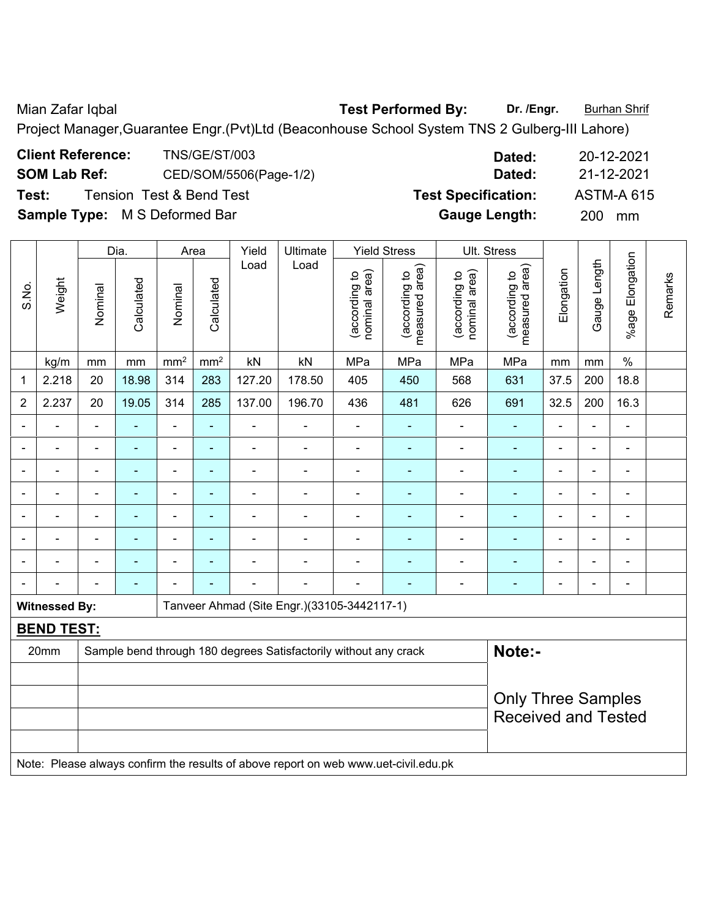Mian Zafar Iqbal **Test Performed By: Dr. /Engr.** Burhan Shrif

Project Manager,Guarantee Engr.(Pvt)Ltd (Beaconhouse School System TNS 2 Gulberg-III Lahore)

| <b>Client Reference:</b>             | <b>TNS/GE/ST/003</b>   | Dated:                     | 20-12-2021        |
|--------------------------------------|------------------------|----------------------------|-------------------|
| <b>SOM Lab Ref:</b>                  | CED/SOM/5506(Page-1/2) | Dated:                     | 21-12-2021        |
| Test:                                | Tension Test&Bend Test | <b>Test Specification:</b> | <b>ASTM-A 615</b> |
| <b>Sample Type:</b> M S Deformed Bar |                        | <b>Gauge Length:</b>       | 200<br>mm         |

|                |                                                                                     |                          | Dia.                     | Area            |                 | Yield          | Ultimate                                                         |                                | <b>Yield Stress</b>             |                                | Ult. Stress                     |                                        |                |                 |         |
|----------------|-------------------------------------------------------------------------------------|--------------------------|--------------------------|-----------------|-----------------|----------------|------------------------------------------------------------------|--------------------------------|---------------------------------|--------------------------------|---------------------------------|----------------------------------------|----------------|-----------------|---------|
| S.No.          | Weight                                                                              | Nominal                  | Calculated               | Nominal         | Calculated      | Load           | Load                                                             | nominal area)<br>(according to | measured area)<br>(according to | (according to<br>nominal area) | measured area)<br>(according to | Elongation                             | Gauge Length   | %age Elongation | Remarks |
|                | kg/m                                                                                | mm                       | mm                       | mm <sup>2</sup> | mm <sup>2</sup> | kN             | kN                                                               | MPa                            | MPa                             | MPa                            | MPa                             | mm                                     | mm             | $\%$            |         |
| 1              | 2.218                                                                               | 20                       | 18.98                    | 314             | 283             | 127.20         | 178.50                                                           | 405                            | 450                             | 568                            | 631                             | 37.5                                   | 200            | 18.8            |         |
| $\overline{2}$ | 2.237                                                                               | 20                       | 19.05                    | 314             | 285             | 137.00         | 196.70                                                           | 436                            | 481                             | 626                            | 691                             | 32.5                                   | 200            | 16.3            |         |
|                |                                                                                     |                          |                          |                 |                 | ä,             |                                                                  |                                |                                 |                                | $\blacksquare$                  |                                        | L,             | $\blacksquare$  |         |
| ٠              | ۳                                                                                   |                          | $\overline{\phantom{0}}$ | $\blacksquare$  | $\blacksquare$  | $\blacksquare$ | $\blacksquare$                                                   | $\blacksquare$                 | $\blacksquare$                  | $\blacksquare$                 | $\blacksquare$                  | $\blacksquare$                         | $\blacksquare$ | $\blacksquare$  |         |
| $\blacksquare$ |                                                                                     | $\blacksquare$           | $\blacksquare$           | ۰               | $\blacksquare$  | $\blacksquare$ | $\overline{\phantom{a}}$                                         | $\overline{\phantom{a}}$       | $\blacksquare$                  | $\blacksquare$                 | $\blacksquare$                  | $\overline{\phantom{a}}$               | $\blacksquare$ | $\blacksquare$  |         |
|                | $\blacksquare$                                                                      | $\blacksquare$           | $\blacksquare$           | $\blacksquare$  | $\blacksquare$  | $\blacksquare$ | $\blacksquare$                                                   | L,                             | $\blacksquare$                  | $\blacksquare$                 | $\blacksquare$                  | $\blacksquare$<br>$\blacksquare$<br>Ē, |                |                 |         |
|                | $\blacksquare$                                                                      | Ē,                       | ÷                        | ÷,              | $\blacksquare$  | ÷,             | $\blacksquare$                                                   | $\blacksquare$                 | $\blacksquare$                  | ÷                              | ä,                              | $\blacksquare$                         | ä,             | $\blacksquare$  |         |
|                |                                                                                     | $\overline{\phantom{0}}$ | $\overline{\phantom{0}}$ |                 |                 |                |                                                                  | $\blacksquare$                 |                                 |                                | $\blacksquare$                  |                                        |                | $\blacksquare$  |         |
|                |                                                                                     |                          |                          |                 |                 |                |                                                                  |                                |                                 |                                |                                 |                                        |                |                 |         |
|                |                                                                                     |                          | $\overline{\phantom{0}}$ |                 |                 | -              |                                                                  | ÷                              | ٠                               | ۰                              | $\blacksquare$                  | $\blacksquare$                         | $\blacksquare$ | $\blacksquare$  |         |
|                | <b>Witnessed By:</b>                                                                |                          |                          |                 |                 |                | Tanveer Ahmad (Site Engr.)(33105-3442117-1)                      |                                |                                 |                                |                                 |                                        |                |                 |         |
|                | <b>BEND TEST:</b>                                                                   |                          |                          |                 |                 |                |                                                                  |                                |                                 |                                |                                 |                                        |                |                 |         |
|                | 20mm                                                                                |                          |                          |                 |                 |                | Sample bend through 180 degrees Satisfactorily without any crack |                                |                                 |                                | Note:-                          |                                        |                |                 |         |
|                |                                                                                     |                          |                          |                 |                 |                |                                                                  |                                |                                 |                                |                                 |                                        |                |                 |         |
|                |                                                                                     |                          |                          |                 |                 |                |                                                                  |                                |                                 |                                | <b>Only Three Samples</b>       |                                        |                |                 |         |
|                |                                                                                     |                          |                          |                 |                 |                |                                                                  |                                |                                 |                                | <b>Received and Tested</b>      |                                        |                |                 |         |
|                |                                                                                     |                          |                          |                 |                 |                |                                                                  |                                |                                 |                                |                                 |                                        |                |                 |         |
|                | Note: Please always confirm the results of above report on web www.uet-civil.edu.pk |                          |                          |                 |                 |                |                                                                  |                                |                                 |                                |                                 |                                        |                |                 |         |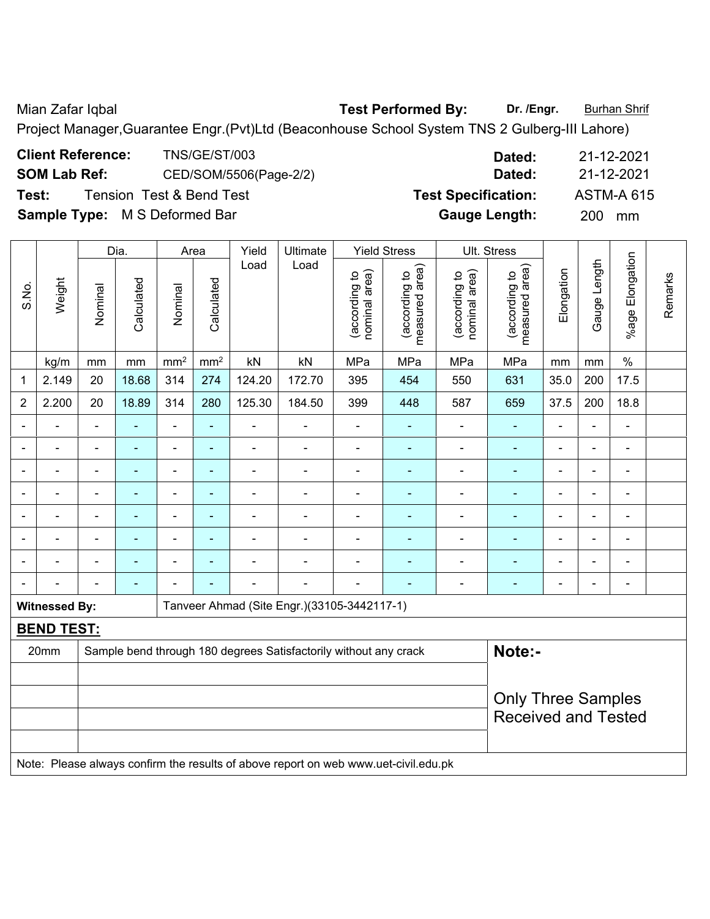Mian Zafar Iqbal **Test Performed By: Dr. /Engr.** Burhan Shrif Project Manager,Guarantee Engr.(Pvt)Ltd (Beaconhouse School System TNS 2 Gulberg-III Lahore)

| Test: | <b>Client Reference:</b><br><b>SOM Lab Ref:</b> |         | <b>Tension Test &amp; Bend Test</b> |                 | <b>TNS/GE/ST/003</b> | CED/SOM/5506(Page-2/2) |          |                                     | Dated:<br>Dated:<br><b>Test Specification:</b> |                                   |                                      |            |                      | 21-12-2021<br>21-12-2021<br><b>ASTM-A 615</b> |         |  |
|-------|-------------------------------------------------|---------|-------------------------------------|-----------------|----------------------|------------------------|----------|-------------------------------------|------------------------------------------------|-----------------------------------|--------------------------------------|------------|----------------------|-----------------------------------------------|---------|--|
|       |                                                 |         | Sample Type: M S Deformed Bar       |                 |                      |                        |          |                                     | <b>Gauge Length:</b>                           |                                   |                                      |            | 200<br>mm            |                                               |         |  |
|       |                                                 |         | Dia.                                |                 | Area                 | Yield                  | Ultimate |                                     | <b>Yield Stress</b>                            |                                   | Ult. Stress                          |            |                      |                                               |         |  |
| S.No. | Weight                                          | Nominal | Calculated                          | Nominal         | Calculated           | Load                   | Load     | area)<br>ೆ<br>(according<br>nominal | area)<br>ೆ<br>(according<br>measured           | nominal area)<br>٥,<br>(according | area)<br>유<br>(according<br>measured | Elongation | ength<br>auge<br>(5) | Elongation<br>$%$ age                         | Remarks |  |
|       | kg/m                                            | mm      | mm                                  | mm <sup>2</sup> | mm <sup>2</sup>      | kN                     | kN       | MPa                                 | <b>MPa</b>                                     | <b>MPa</b>                        | MPa                                  | mm         | mm                   | $\frac{0}{0}$                                 |         |  |
|       | 2.149                                           | 20      | 18.68                               | 314             | 274                  | 124.20                 | 172.70   | 395                                 | 454                                            | 550                               | 631                                  | 35.0       | 200                  | 17.5                                          |         |  |
| 2     | 2.200                                           | 20      | 18.89                               | 314             | 280                  | 125.30                 | 184.50   | 399                                 | 448                                            | 587                               | 659                                  | 37.5       | 200                  | 18.8                                          |         |  |
|       |                                                 |         |                                     |                 |                      |                        |          |                                     |                                                |                                   |                                      |            |                      |                                               |         |  |

- - - - - - - - - - - - - - - - - - - - - - - - - - - - - - - - - - - - - - - - - - - - - - - - - - - - - - - - - - - - - - - - - - - - - - - - - - - - - - - - - - - - - - - - - - - - - - - - - - - - - - - - -

**Witnessed By: Tanveer Ahmad (Site Engr.)(33105-3442117-1)** 

**BEND TEST:**  20mm Sample bend through 180 degrees Satisfactorily without any crack **Note:- Note:** Only Three Samples Received and Tested Note: Please always confirm the results of above report on web www.uet-civil.edu.pk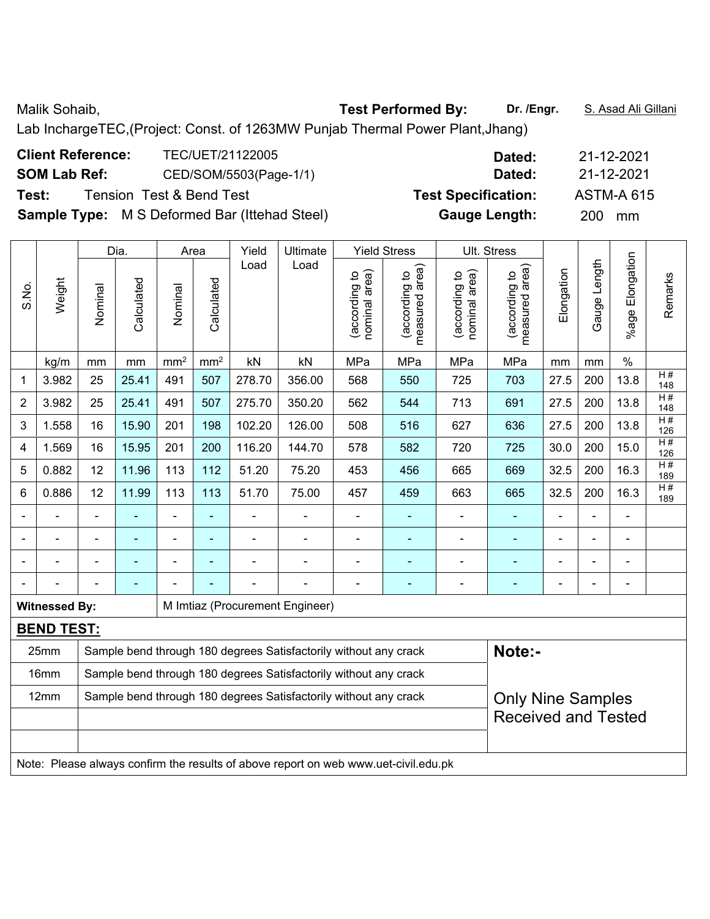Lab InchargeTEC,(Project: Const. of 1263MW Punjab Thermal Power Plant,Jhang)

| <b>Client Reference:</b> | TEC/UET/21122005                                     | Dated:                     | 21-12-2021        |
|--------------------------|------------------------------------------------------|----------------------------|-------------------|
| <b>SOM Lab Ref:</b>      | CED/SOM/5503(Page-1/1)                               | Dated:                     | 21-12-2021        |
| Test:                    | <b>Tension Test &amp; Bend Test</b>                  | <b>Test Specification:</b> | <b>ASTM-A 615</b> |
|                          | <b>Sample Type:</b> M S Deformed Bar (Ittehad Steel) | <b>Gauge Length:</b>       | <b>200</b><br>mm  |

|                |                                                                                     |                | Dia.           |                          | Area           | Yield          | Ultimate                                                         |                                | <b>Yield Stress</b>             |                                | Ult. Stress                     |                          |                |                      |           |
|----------------|-------------------------------------------------------------------------------------|----------------|----------------|--------------------------|----------------|----------------|------------------------------------------------------------------|--------------------------------|---------------------------------|--------------------------------|---------------------------------|--------------------------|----------------|----------------------|-----------|
| S.No.          | Weight                                                                              | Nominal        | Calculated     | Nominal                  | Calculated     | Load           | Load                                                             | nominal area)<br>(according to | measured area)<br>(according to | nominal area)<br>(according to | measured area)<br>(according to | Elongation               | Gauge Length   | Elongation<br>%age I | Remarks   |
|                | kg/m                                                                                | mm             | $\,mm$         | mm <sup>2</sup>          | $\rm mm^2$     | kN             | kN                                                               | MPa                            | MPa                             | MPa                            | MPa                             | mm                       | mm             | $\%$                 |           |
| 1              | 3.982                                                                               | 25             | 25.41          | 491                      | 507            | 278.70         | 356.00                                                           | 568                            | 550                             | 725                            | 703                             | 27.5                     | 200            | 13.8                 | H#<br>148 |
| $\overline{2}$ | 3.982                                                                               | 25             | 25.41          | 491                      | 507            | 275.70         | 350.20                                                           | 562                            | 544                             | 713                            | 691                             | 27.5                     | 200            | 13.8                 | H#<br>148 |
| 3              | 1.558                                                                               | 16             | 15.90          | 201                      | 198            | 102.20         | 126.00                                                           | 508                            | 516                             | 627                            | 636                             | 27.5                     | 200            | 13.8                 | H#<br>126 |
| 4              | 1.569                                                                               | 16             | 15.95          | 201                      | 200            | 116.20         | 144.70                                                           | 578                            | 582                             | 720                            | 725                             | 30.0                     | 200            | 15.0                 | H#<br>126 |
| 5              | 0.882                                                                               | 12             | 11.96          | 113                      | 112            | 51.20          | 75.20                                                            | 453                            | 456                             | 665                            | 669                             | 32.5                     | 200            | 16.3                 | H#<br>189 |
| 6              | 0.886                                                                               | 12             | 11.99          | 113                      | 113            | 51.70          | 75.00                                                            | 457                            | 459                             | 663                            | 665                             | 16.3<br>32.5<br>200      |                |                      |           |
|                | ä,                                                                                  | $\blacksquare$ | ÷              | $\overline{\phantom{a}}$ | ÷,             |                | $\blacksquare$                                                   | $\qquad \qquad \blacksquare$   | $\blacksquare$                  | $\blacksquare$                 | $\blacksquare$                  | $\overline{\phantom{a}}$ | L,             | $\blacksquare$       |           |
|                | ÷                                                                                   |                | $\blacksquare$ | $\overline{\phantom{a}}$ | $\blacksquare$ | $\blacksquare$ | $\blacksquare$                                                   | $\overline{a}$                 | ÷                               | $\blacksquare$                 | $\blacksquare$                  | $\blacksquare$           | L,             | $\blacksquare$       |           |
|                | $\blacksquare$                                                                      | $\blacksquare$ | $\blacksquare$ | $\blacksquare$           | $\blacksquare$ | $\blacksquare$ | $\blacksquare$                                                   | $\overline{a}$                 | $\blacksquare$                  | $\blacksquare$                 | $\blacksquare$                  | $\blacksquare$           | $\blacksquare$ | $\blacksquare$       |           |
|                |                                                                                     |                | L,             |                          |                |                |                                                                  | $\blacksquare$                 | $\blacksquare$                  |                                | ۰                               | $\blacksquare$           | $\blacksquare$ | $\blacksquare$       |           |
|                | <b>Witnessed By:</b>                                                                |                |                |                          |                |                | M Imtiaz (Procurement Engineer)                                  |                                |                                 |                                |                                 |                          |                |                      |           |
|                | <b>BEND TEST:</b>                                                                   |                |                |                          |                |                |                                                                  |                                |                                 |                                |                                 |                          |                |                      |           |
|                | 25mm                                                                                |                |                |                          |                |                | Sample bend through 180 degrees Satisfactorily without any crack |                                |                                 |                                | Note:-                          |                          |                |                      |           |
|                | 16mm                                                                                |                |                |                          |                |                | Sample bend through 180 degrees Satisfactorily without any crack |                                |                                 |                                |                                 |                          |                |                      |           |
|                | 12mm                                                                                |                |                |                          |                |                | Sample bend through 180 degrees Satisfactorily without any crack |                                |                                 |                                | <b>Only Nine Samples</b>        |                          |                |                      |           |
|                |                                                                                     |                |                |                          |                |                |                                                                  |                                |                                 |                                | <b>Received and Tested</b>      |                          |                |                      |           |
|                |                                                                                     |                |                |                          |                |                |                                                                  |                                |                                 |                                |                                 |                          |                |                      |           |
|                | Note: Please always confirm the results of above report on web www.uet-civil.edu.pk |                |                |                          |                |                |                                                                  |                                |                                 |                                |                                 |                          |                |                      |           |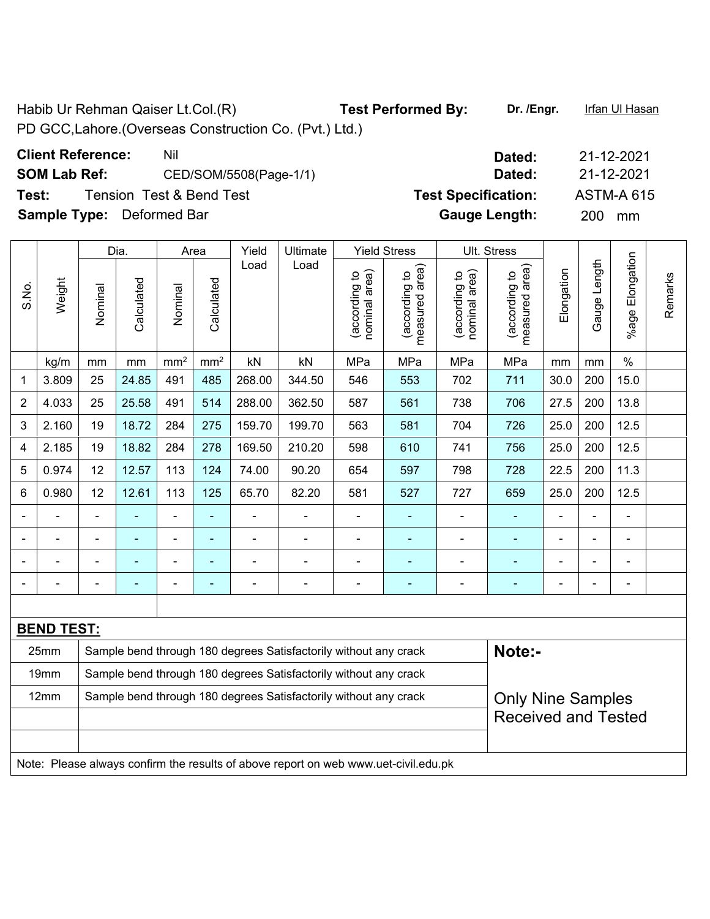Habib Ur Rehman Qaiser Lt.Col.(R) **Test Performed By:** Dr. /Engr. Infan Ul Hasan PD GCC,Lahore.(Overseas Construction Co. (Pvt.) Ltd.)

| <b>Client Reference:</b> | Nil                                 |
|--------------------------|-------------------------------------|
| <b>SOM Lab Ref:</b>      | CED/SOM/5508(Page-1/                |
| Test:                    | <b>Tension Test &amp; Bend Test</b> |

**Sample Type:** Deformed Bar **Gauge Length:** 200 mm

|                |                   |                                                                  | Dia.           |                 | Area            | Yield          | Ultimate                                                         |                                | <b>Yield Stress</b>             |                                | Ult. Stress                     |                          |              |                       |         |
|----------------|-------------------|------------------------------------------------------------------|----------------|-----------------|-----------------|----------------|------------------------------------------------------------------|--------------------------------|---------------------------------|--------------------------------|---------------------------------|--------------------------|--------------|-----------------------|---------|
| S.No.          | Weight            | Nominal                                                          | Calculated     | Nominal         | Calculated      | Load           | Load                                                             | nominal area)<br>(according to | measured area)<br>(according to | nominal area)<br>(according to | measured area)<br>(according to | Elongation               | Gauge Length | Elongation<br>$%$ age | Remarks |
|                | kg/m              | mm                                                               | mm             | mm <sup>2</sup> | mm <sup>2</sup> | kN             | kN                                                               | MPa                            | MPa                             | MPa                            | MPa                             | mm                       | mm           | $\%$                  |         |
| 1              | 3.809             | 25                                                               | 24.85          | 491             | 485             | 268.00         | 344.50                                                           | 546                            | 553                             | 702                            | 711                             | 30.0                     | 200          | 15.0                  |         |
| $\overline{2}$ | 4.033             | 25                                                               | 25.58          | 491             | 514             | 288.00         | 362.50                                                           | 587                            | 561                             | 738                            | 706                             | 27.5                     | 200          | 13.8                  |         |
| 3              | 2.160             | 19                                                               | 18.72          | 284             | 275             | 159.70         | 199.70                                                           | 563                            | 581                             | 704                            | 726                             | 25.0                     | 200          | 12.5                  |         |
| 4              | 2.185             | 19                                                               | 18.82          | 284             | 278             | 169.50         | 210.20                                                           | 598                            | 610                             | 741                            | 756                             | 25.0                     | 200          | 12.5                  |         |
| 5              | 0.974             | 12                                                               | 12.57          | 113             | 124             | 74.00          | 90.20                                                            | 654                            | 597                             | 798                            | 728                             | 22.5                     | 200          | 11.3                  |         |
| 6              | 0.980             | 12                                                               | 12.61          | 113             | 125             | 65.70          | 82.20                                                            | 581                            | 527                             | 727                            | 659                             | 25.0                     | 200          | 12.5                  |         |
|                |                   | $\blacksquare$                                                   | ÷,             | $\blacksquare$  | $\blacksquare$  | $\blacksquare$ |                                                                  | $\blacksquare$                 | ٠                               | ÷,                             | $\blacksquare$                  |                          |              | $\blacksquare$        |         |
|                |                   | $\blacksquare$                                                   | $\blacksquare$ | $\blacksquare$  | $\blacksquare$  | $\blacksquare$ | $\blacksquare$                                                   | $\overline{\phantom{0}}$       | ٠                               | $\blacksquare$                 | ÷                               | $\overline{\phantom{0}}$ |              | $\blacksquare$        |         |
|                |                   |                                                                  |                |                 |                 |                |                                                                  |                                |                                 |                                |                                 |                          |              |                       |         |
|                |                   |                                                                  | $\blacksquare$ | $\blacksquare$  | $\blacksquare$  | $\blacksquare$ |                                                                  | $\blacksquare$                 |                                 | $\blacksquare$                 | ÷                               | $\blacksquare$           |              | $\blacksquare$        |         |
|                |                   |                                                                  |                |                 |                 |                |                                                                  |                                |                                 |                                |                                 |                          |              |                       |         |
|                | <b>BEND TEST:</b> |                                                                  |                |                 |                 |                |                                                                  |                                |                                 |                                |                                 |                          |              |                       |         |
|                | 25mm              | Sample bend through 180 degrees Satisfactorily without any crack |                |                 |                 |                |                                                                  |                                |                                 |                                | Note:-                          |                          |              |                       |         |
|                | 19mm              |                                                                  |                |                 |                 |                | Sample bend through 180 degrees Satisfactorily without any crack |                                |                                 |                                |                                 |                          |              |                       |         |
|                | 12mm              |                                                                  |                |                 |                 |                | Sample bend through 180 degrees Satisfactorily without any crack |                                |                                 |                                | <b>Only Nine Samples</b>        |                          |              |                       |         |
|                |                   |                                                                  |                |                 |                 |                |                                                                  |                                |                                 |                                | <b>Received and Tested</b>      |                          |              |                       |         |
|                |                   |                                                                  |                |                 |                 |                |                                                                  |                                |                                 |                                |                                 |                          |              |                       |         |

Note: Please always confirm the results of above report on web www.uet-civil.edu.pk

**Client Reference:** Nil Nil **Dated:** 21-12-2021 **SOM Lab Ref:** CED/SOM/5508(Page-1/1) **Dated:** 21-12-2021 Test Specification: <br>ASTM-A 615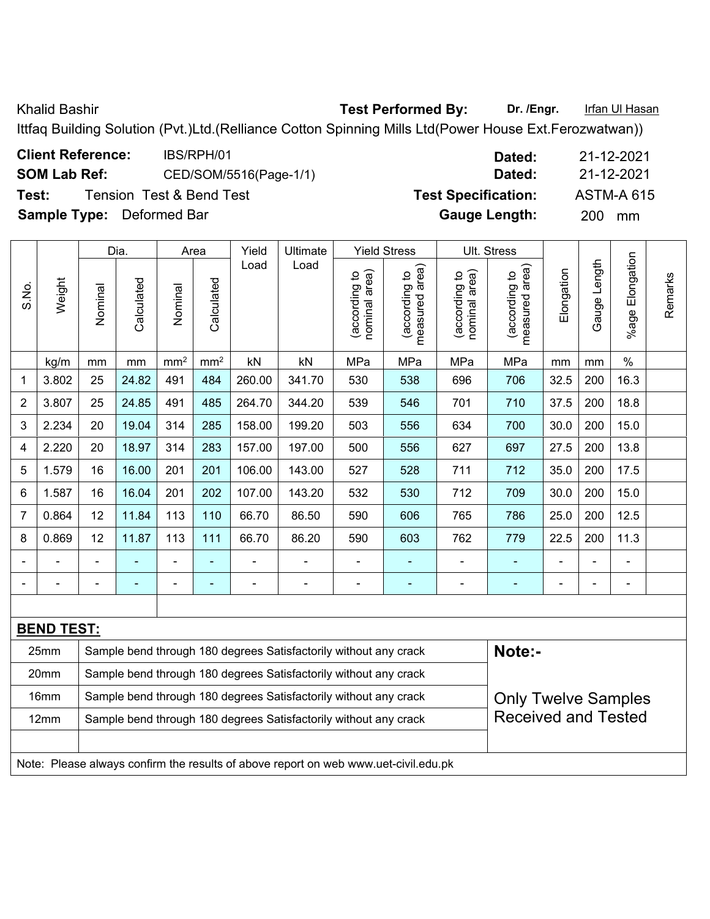Khalid Bashir **Test Performed By:** Dr. /Engr. **Infan Ul Hasan** 

Ittfaq Building Solution (Pvt.)Ltd.(Relliance Cotton Spinning Mills Ltd(Power House Ext.Ferozwatwan))

| <b>Client Reference:</b>         | IBS/RPH/01                          | Dated:                     | 21-12-2021        |
|----------------------------------|-------------------------------------|----------------------------|-------------------|
| <b>SOM Lab Ref:</b>              | CED/SOM/5516(Page-1/1)              | Dated:                     | 21-12-2021        |
| Test:                            | <b>Tension Test &amp; Bend Test</b> | <b>Test Specification:</b> | <b>ASTM-A 615</b> |
| <b>Sample Type:</b> Deformed Bar |                                     | <b>Gauge Length:</b>       | <b>200</b><br>mm  |

|                |                   |                                                                                                | Dia.       |                 | Area                     | Yield  | Ultimate                                                         |                                | <b>Yield Stress</b>                |                                | Ult. Stress                        |                |                |                          |         |
|----------------|-------------------|------------------------------------------------------------------------------------------------|------------|-----------------|--------------------------|--------|------------------------------------------------------------------|--------------------------------|------------------------------------|--------------------------------|------------------------------------|----------------|----------------|--------------------------|---------|
| S.No.          | Weight            | Nominal                                                                                        | Calculated | Nominal         | Calculated               | Load   | Load                                                             | nominal area)<br>(according to | area)<br>(according to<br>measured | nominal area)<br>(according to | area)<br>(according to<br>measured | Elongation     | Gauge Length   | Elongation<br>%age F     | Remarks |
|                | kg/m              | mm                                                                                             | mm         | mm <sup>2</sup> | mm <sup>2</sup>          | kN     | kN                                                               | MPa                            | MPa                                | MPa                            | MPa                                | mm             | mm             | $\%$                     |         |
| 1              | 3.802             | 25                                                                                             | 24.82      | 491             | 484                      | 260.00 | 341.70                                                           | 530                            | 538                                | 696                            | 706                                | 32.5           | 200            | 16.3                     |         |
| $\overline{2}$ | 3.807             | 25                                                                                             | 24.85      | 491             | 485                      | 264.70 | 344.20                                                           | 539                            | 546                                | 701                            | 710                                | 37.5           | 200            | 18.8                     |         |
| 3              | 2.234             | 20                                                                                             | 19.04      | 314             | 285                      | 158.00 | 199.20                                                           | 503                            | 556                                | 634                            | 700                                | 30.0           | 200            | 15.0                     |         |
| 4              | 2.220             | 20                                                                                             | 18.97      | 314             | 283                      | 157.00 | 197.00                                                           | 500                            | 556                                | 627                            | 697                                | 27.5           | 200            | 13.8                     |         |
| 5              | 1.579             | 16                                                                                             | 16.00      | 201             | 201                      | 106.00 | 143.00                                                           | 527                            | 528                                | 711                            | 712                                | 35.0           | 200            | 17.5                     |         |
| 6              | 1.587             | 16                                                                                             | 16.04      | 201             | 202                      | 107.00 | 143.20                                                           | 532                            | 530                                | 712                            | 709                                | 30.0           | 200            | 15.0                     |         |
| 7              | 0.864             | 12                                                                                             | 11.84      | 113             | 110                      | 66.70  | 86.50                                                            | 590                            | 606                                | 765                            | 786                                | 25.0           | 200            | 12.5                     |         |
| 8              | 0.869             | 12                                                                                             | 11.87      | 113             | 111                      | 66.70  | 86.20                                                            | 590                            | 603                                | 762                            | 779                                | 22.5           | 200            | 11.3                     |         |
|                |                   |                                                                                                |            | ۰               | ۰                        |        |                                                                  | $\overline{\phantom{a}}$       | ۰                                  | $\overline{\phantom{0}}$       |                                    |                |                |                          |         |
|                |                   | $\blacksquare$                                                                                 |            | $\blacksquare$  | $\overline{\phantom{0}}$ |        |                                                                  | $\overline{\phantom{0}}$       | -                                  | $\overline{\phantom{0}}$       | $\blacksquare$                     | $\blacksquare$ | $\blacksquare$ | $\overline{\phantom{0}}$ |         |
|                |                   |                                                                                                |            |                 |                          |        |                                                                  |                                |                                    |                                |                                    |                |                |                          |         |
|                | <b>BEND TEST:</b> |                                                                                                |            |                 |                          |        |                                                                  |                                |                                    |                                |                                    |                |                |                          |         |
|                | 25mm              |                                                                                                |            |                 |                          |        | Sample bend through 180 degrees Satisfactorily without any crack |                                |                                    |                                | Note:-                             |                |                |                          |         |
|                | 20mm              |                                                                                                |            |                 |                          |        | Sample bend through 180 degrees Satisfactorily without any crack |                                |                                    |                                |                                    |                |                |                          |         |
|                | 16mm              |                                                                                                |            |                 |                          |        | Sample bend through 180 degrees Satisfactorily without any crack |                                |                                    |                                | <b>Only Twelve Samples</b>         |                |                |                          |         |
|                | 12mm              | <b>Received and Tested</b><br>Sample bend through 180 degrees Satisfactorily without any crack |            |                 |                          |        |                                                                  |                                |                                    |                                |                                    |                |                |                          |         |

Note: Please always confirm the results of above report on web www.uet-civil.edu.pk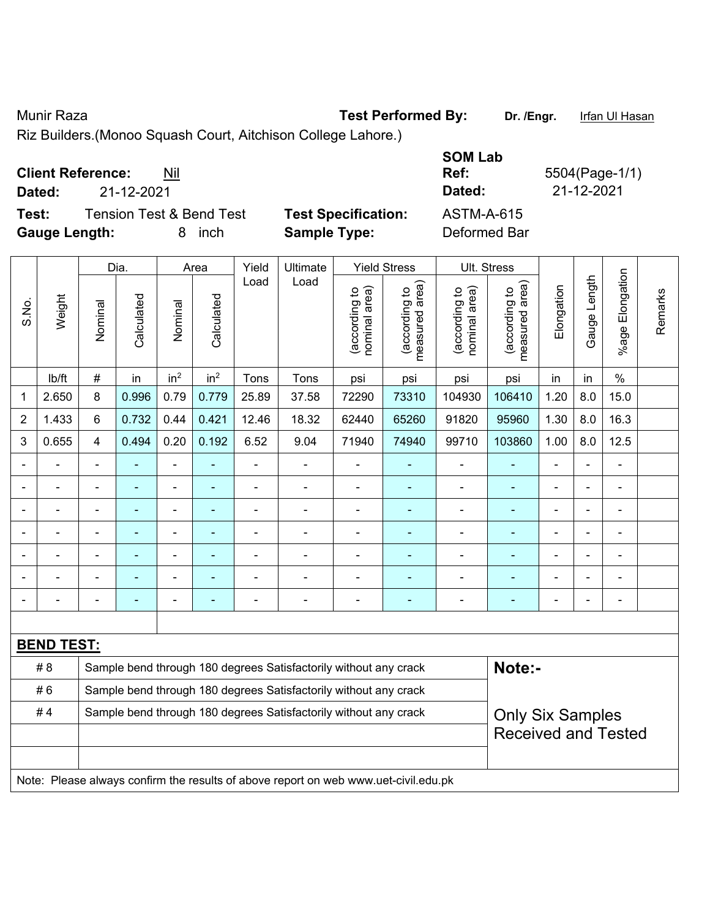Munir Raza **Test Performed By:** Dr. /Engr. Infan Ul Hasan

Riz Builders.(Monoo Squash Court, Aitchison College Lahore.)

| <b>Client Reference:</b><br>Nil |
|---------------------------------|
|---------------------------------|

**Test:** Tension Test & Bend Test **Test Specification:** ASTM-A-615 **Gauge Length:** 8 inch **Sample Type:** Deformed Bar

**SOM Lab Ref:** 5504(Page-1/1) **Dated:** 21-12-2021 **Dated:** 21-12-2021

|                |                   |                                                                  | Dia.                                                             |                          | Area                     | Yield          | Ultimate                                                                            |                                | <b>Yield Stress</b>             |                                | Ult. Stress                     |                         |                |                       |         |  |
|----------------|-------------------|------------------------------------------------------------------|------------------------------------------------------------------|--------------------------|--------------------------|----------------|-------------------------------------------------------------------------------------|--------------------------------|---------------------------------|--------------------------------|---------------------------------|-------------------------|----------------|-----------------------|---------|--|
| S.No.          | Weight            | Nominal                                                          | Calculated                                                       | Nominal                  | Calculated               | Load           | Load                                                                                | nominal area)<br>(according to | (according to<br>measured area) | nominal area)<br>(according to | measured area)<br>(according to | Elongation              | Gauge Length   | Elongation<br>$%$ age | Remarks |  |
|                | lb/ft             | $\#$                                                             | in                                                               | in <sup>2</sup>          | in <sup>2</sup>          | Tons           | Tons                                                                                | psi                            | psi                             | psi                            | psi                             | in                      | in             | $\%$                  |         |  |
| 1              | 2.650             | 8                                                                | 0.996                                                            | 0.79                     | 0.779                    | 25.89          | 37.58                                                                               | 72290                          | 73310                           | 104930                         | 106410                          | 1.20                    | 8.0            | 15.0                  |         |  |
| $\overline{2}$ | 1.433             | 6                                                                | 0.732                                                            | 0.44                     | 0.421                    | 12.46          | 18.32                                                                               | 62440                          | 65260                           | 91820                          | 95960                           | 1.30                    | 8.0            | 16.3                  |         |  |
| 3              | 0.655             | $\overline{4}$                                                   | 0.494                                                            | 0.20                     | 0.192                    | 6.52           | 9.04                                                                                | 71940                          | 74940                           | 99710                          | 103860                          | 1.00                    | 8.0            | 12.5                  |         |  |
|                |                   | $\blacksquare$                                                   |                                                                  | ÷,                       |                          |                | $\overline{\phantom{0}}$                                                            |                                |                                 |                                |                                 |                         |                |                       |         |  |
|                |                   | $\blacksquare$                                                   |                                                                  | $\overline{\phantom{0}}$ |                          | $\blacksquare$ | $\frac{1}{2}$                                                                       | ä,                             | $\blacksquare$                  | ÷,                             | ÷                               | $\blacksquare$          | $\blacksquare$ | ÷,                    |         |  |
|                |                   | $\blacksquare$                                                   | $\blacksquare$                                                   | $\overline{\phantom{0}}$ |                          | -              | -                                                                                   | $\blacksquare$                 | ۰                               | $\overline{\phantom{a}}$       | $\blacksquare$                  | $\blacksquare$          | $\blacksquare$ | ۰                     |         |  |
|                |                   | $\blacksquare$                                                   | ÷,                                                               | $\overline{\phantom{0}}$ | $\overline{\phantom{0}}$ | $\blacksquare$ | ä,                                                                                  | $\blacksquare$                 | ٠                               | $\blacksquare$                 | ÷                               | $\blacksquare$          |                | ÷,                    |         |  |
|                |                   |                                                                  |                                                                  | $\blacksquare$           |                          |                | $\blacksquare$                                                                      |                                |                                 | $\overline{\phantom{a}}$       |                                 |                         |                |                       |         |  |
|                |                   |                                                                  |                                                                  |                          |                          |                | ÷                                                                                   | $\blacksquare$                 |                                 |                                |                                 |                         |                |                       |         |  |
|                |                   |                                                                  |                                                                  | $\blacksquare$           |                          |                | $\overline{\phantom{0}}$                                                            |                                | ٠                               | $\blacksquare$                 | ä,                              |                         |                | $\blacksquare$        |         |  |
|                |                   |                                                                  |                                                                  |                          |                          |                |                                                                                     |                                |                                 |                                |                                 |                         |                |                       |         |  |
|                | <b>BEND TEST:</b> |                                                                  |                                                                  |                          |                          |                |                                                                                     |                                |                                 |                                |                                 |                         |                |                       |         |  |
|                | # 8               |                                                                  |                                                                  |                          |                          |                | Sample bend through 180 degrees Satisfactorily without any crack                    |                                |                                 |                                | Note:-                          |                         |                |                       |         |  |
|                | #6                |                                                                  | Sample bend through 180 degrees Satisfactorily without any crack |                          |                          |                |                                                                                     |                                |                                 |                                |                                 |                         |                |                       |         |  |
|                | #4                | Sample bend through 180 degrees Satisfactorily without any crack |                                                                  |                          |                          |                |                                                                                     |                                |                                 |                                |                                 | <b>Only Six Samples</b> |                |                       |         |  |
|                |                   |                                                                  |                                                                  |                          |                          |                |                                                                                     |                                |                                 |                                | <b>Received and Tested</b>      |                         |                |                       |         |  |
|                |                   |                                                                  |                                                                  |                          |                          |                |                                                                                     |                                |                                 |                                |                                 |                         |                |                       |         |  |
|                |                   |                                                                  |                                                                  |                          |                          |                | Note: Please always confirm the results of above report on web www.uet-civil.edu.pk |                                |                                 |                                |                                 |                         |                |                       |         |  |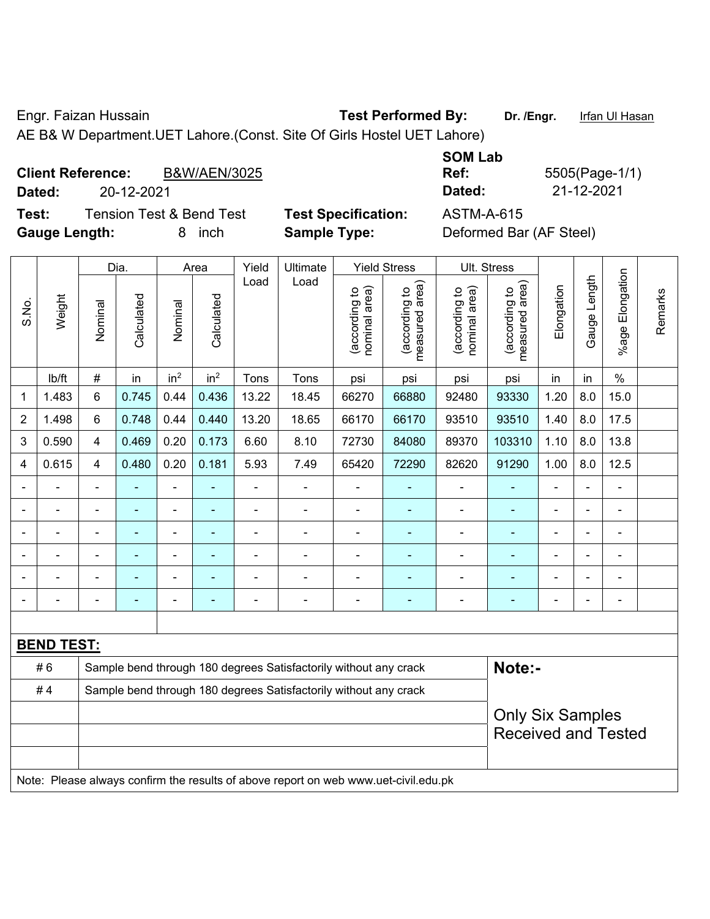Engr. Faizan Hussain **Test Performed By:** Dr. /Engr. Infan Ul Hasan

AE B& W Department.UET Lahore.(Const. Site Of Girls Hostel UET Lahore)

| <b>Client Reference:</b> | <b>B&amp;W/AEN/3025</b> | Ref:   | 5505(Page-1/ |
|--------------------------|-------------------------|--------|--------------|
| Dated:                   | 20-12-2021              | Dated: | 21-12-2021   |

**Test:** Tension Test & Bend Test **Test Specification:** ASTM-A-615 **Gauge Length:** 8 inch **Sample Type:** Deformed Bar (AF Steel)

**SOM Lab Ref:** 5505(Page-1/1)

|                          |                   |                         | Dia.                                                             |                 | Area            | Yield          | Ultimate                                                         |                                | <b>Yield Stress</b>             |                                | Ult. Stress                     |                            |                |                          |         |
|--------------------------|-------------------|-------------------------|------------------------------------------------------------------|-----------------|-----------------|----------------|------------------------------------------------------------------|--------------------------------|---------------------------------|--------------------------------|---------------------------------|----------------------------|----------------|--------------------------|---------|
| S.No.                    | Weight            | Nominal                 | Calculated                                                       | Nominal         | Calculated      | Load           | Load                                                             | nominal area)<br>(according to | measured area)<br>(according to | nominal area)<br>(according to | (according to<br>measured area) | Elongation                 | Gauge Length   | Elongation<br>$%$ age    | Remarks |
|                          | lb/ft             | $\#$                    | in                                                               | in <sup>2</sup> | in <sup>2</sup> | Tons           | Tons                                                             | psi                            | psi                             | psi                            | psi                             | in                         | in             | $\%$                     |         |
| $\mathbf{1}$             | 1.483             | $6\phantom{a}$          | 0.745                                                            | 0.44            | 0.436           | 13.22          | 18.45                                                            | 66270                          | 66880                           | 92480                          | 93330                           | 1.20                       | 8.0            | 15.0                     |         |
| $\overline{2}$           | 1.498             | $6\phantom{a}$          | 0.748                                                            | 0.44            | 0.440           | 13.20          | 18.65                                                            | 66170                          | 66170                           | 93510                          | 93510                           | 1.40                       | 8.0            | 17.5                     |         |
| 3                        | 0.590             | $\overline{4}$          | 0.469                                                            | 0.20            | 0.173           | 6.60           | 8.10                                                             | 72730                          | 84080                           | 89370                          | 103310                          | 1.10                       | 8.0            | 13.8                     |         |
| 4                        | 0.615             | $\overline{\mathbf{4}}$ | 0.480                                                            | 0.20            | 0.181           | 5.93           | 7.49                                                             | 65420                          | 72290                           | 82620                          | 91290                           | 1.00                       | 8.0            | 12.5                     |         |
| $\overline{\phantom{a}}$ |                   |                         |                                                                  |                 |                 |                |                                                                  |                                |                                 |                                |                                 |                            |                |                          |         |
| $\blacksquare$           | $\blacksquare$    | $\blacksquare$          | ä,                                                               | $\blacksquare$  | ۰               | $\blacksquare$ | $\blacksquare$                                                   | $\blacksquare$                 |                                 |                                |                                 | $\blacksquare$             | $\blacksquare$ | ٠                        |         |
| $\overline{\phantom{a}}$ | $\blacksquare$    | ä,                      | ٠                                                                | $\blacksquare$  | ۰               | $\blacksquare$ | $\blacksquare$                                                   | $\blacksquare$                 | $\blacksquare$                  | $\blacksquare$                 | $\blacksquare$                  | $\blacksquare$             | $\blacksquare$ | $\overline{\phantom{0}}$ |         |
| $\overline{a}$           |                   | $\blacksquare$          | $\overline{\phantom{0}}$                                         | ۰               | ۳               | ٠              |                                                                  |                                |                                 | $\overline{\phantom{0}}$       |                                 | $\blacksquare$             |                |                          |         |
|                          |                   |                         |                                                                  |                 |                 |                |                                                                  |                                |                                 |                                |                                 |                            |                |                          |         |
|                          |                   | -                       |                                                                  |                 |                 |                |                                                                  | $\blacksquare$                 | ٠                               |                                | ۰                               | ۰                          |                | ٠                        |         |
|                          |                   |                         |                                                                  |                 |                 |                |                                                                  |                                |                                 |                                |                                 |                            |                |                          |         |
|                          | <b>BEND TEST:</b> |                         |                                                                  |                 |                 |                |                                                                  |                                |                                 |                                |                                 |                            |                |                          |         |
|                          | #6                |                         |                                                                  |                 |                 |                | Sample bend through 180 degrees Satisfactorily without any crack |                                |                                 |                                | Note:-                          |                            |                |                          |         |
|                          | #4                |                         | Sample bend through 180 degrees Satisfactorily without any crack |                 |                 |                |                                                                  |                                |                                 |                                |                                 |                            |                |                          |         |
|                          |                   |                         |                                                                  |                 |                 |                |                                                                  |                                |                                 |                                |                                 | <b>Only Six Samples</b>    |                |                          |         |
|                          |                   |                         |                                                                  |                 |                 |                |                                                                  |                                |                                 |                                |                                 | <b>Received and Tested</b> |                |                          |         |
|                          |                   |                         |                                                                  |                 |                 |                |                                                                  |                                |                                 |                                |                                 |                            |                |                          |         |
|                          |                   |                         |                                                                  |                 |                 |                |                                                                  |                                |                                 |                                |                                 |                            |                |                          |         |

Note: Please always confirm the results of above report on web www.uet-civil.edu.pk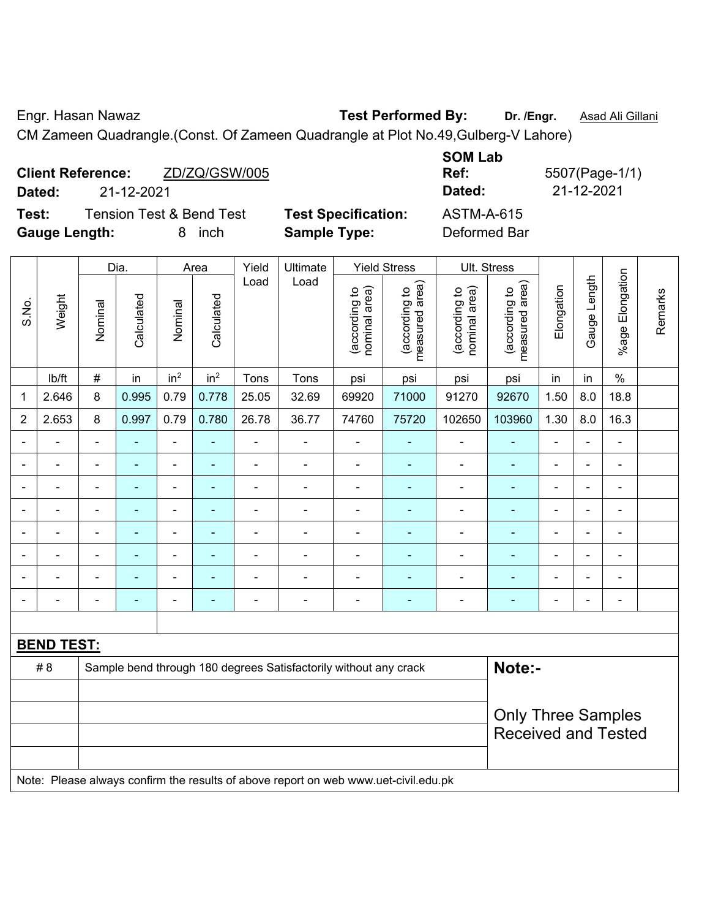Engr. Hasan Nawaz **Test Performed By: Dr. /Engr.** Asad Ali Gillani

CM Zameen Quadrangle.(Const. Of Zameen Quadrangle at Plot No.49,Gulberg-V Lahore)

| Dated:               | <b>Client Reference:</b><br>21-12-2021 | ZD/ZQ/GSW/005                       |                            | <b>SOM Lab</b><br>Ref:<br>Dated: | 5507(Page-1/1)<br>21-12-2021 |
|----------------------|----------------------------------------|-------------------------------------|----------------------------|----------------------------------|------------------------------|
| Test:                |                                        | <b>Tension Test &amp; Bend Test</b> | <b>Test Specification:</b> | ASTM-A-615                       |                              |
| <b>Gauge Length:</b> |                                        | inch                                | <b>Sample Type:</b>        | Deformed Bar                     |                              |

|                |                   | Dia.<br>Yield<br>Ultimate<br><b>Yield Stress</b><br>Ult. Stress<br>Area |                |                              |                 |                |                                                                                     |                                |                                 |                                |                                 |                |                |                 |         |
|----------------|-------------------|-------------------------------------------------------------------------|----------------|------------------------------|-----------------|----------------|-------------------------------------------------------------------------------------|--------------------------------|---------------------------------|--------------------------------|---------------------------------|----------------|----------------|-----------------|---------|
| S.No.          | Weight            | Nominal                                                                 | Calculated     | Nominal                      | Calculated      | Load           | Load                                                                                | nominal area)<br>(according to | (according to<br>measured area) | nominal area)<br>(according to | (according to<br>measured area) | Elongation     | Gauge Length   | %age Elongation | Remarks |
|                | lb/ft             | $\#$                                                                    | in             | in <sup>2</sup>              | in <sup>2</sup> | Tons           | Tons                                                                                | psi                            | psi                             | psi                            | psi                             | in             | in             | $\%$            |         |
| $\mathbf 1$    | 2.646             | 8                                                                       | 0.995          | 0.79                         | 0.778           | 25.05          | 32.69                                                                               | 69920                          | 71000                           | 91270                          | 92670                           | 1.50           | 8.0            | 18.8            |         |
| $\overline{2}$ | 2.653             | 8                                                                       | 0.997          | 0.79                         | 0.780           | 26.78          | 36.77                                                                               | 74760                          | 75720                           | 102650                         | 103960                          | 1.30           | 8.0            | 16.3            |         |
| $\blacksquare$ | $\blacksquare$    | $\blacksquare$                                                          | ÷,             | ÷,                           | $\blacksquare$  | ÷,             | $\blacksquare$                                                                      | $\blacksquare$                 | ÷                               | $\overline{\phantom{a}}$       | ÷                               | $\blacksquare$ | $\blacksquare$ | $\blacksquare$  |         |
|                | $\blacksquare$    | $\blacksquare$                                                          | ä,             | $\qquad \qquad \blacksquare$ | ۰               | $\blacksquare$ | $\overline{\phantom{a}}$                                                            | $\blacksquare$                 | $\blacksquare$                  | $\blacksquare$                 | $\blacksquare$                  | Ē,             |                | $\blacksquare$  |         |
|                | $\blacksquare$    | $\blacksquare$                                                          | ä,             | ÷,                           | ۰               | ä,             | $\blacksquare$                                                                      | $\blacksquare$                 | ٠                               | $\blacksquare$                 | $\blacksquare$                  | $\blacksquare$ |                | $\blacksquare$  |         |
|                | ÷                 |                                                                         | $\blacksquare$ |                              |                 | $\blacksquare$ | Ē,                                                                                  | ä,                             |                                 | $\blacksquare$                 | $\blacksquare$                  |                |                | $\blacksquare$  |         |
|                |                   |                                                                         |                | ۳                            |                 |                |                                                                                     |                                |                                 |                                |                                 |                |                |                 |         |
|                |                   |                                                                         |                | ä,                           |                 |                | Ē,                                                                                  | $\blacksquare$                 |                                 |                                |                                 |                |                |                 |         |
|                |                   |                                                                         |                | -                            |                 |                |                                                                                     | $\blacksquare$                 | ۰                               |                                |                                 |                |                | $\blacksquare$  |         |
|                | $\blacksquare$    | $\blacksquare$                                                          | ۰              | $\overline{\phantom{a}}$     | ٠               | $\blacksquare$ | $\blacksquare$                                                                      | $\blacksquare$                 | ٠                               | $\blacksquare$                 | $\overline{a}$                  | $\blacksquare$ | $\blacksquare$ | $\blacksquare$  |         |
|                |                   |                                                                         |                |                              |                 |                |                                                                                     |                                |                                 |                                |                                 |                |                |                 |         |
|                | <b>BEND TEST:</b> |                                                                         |                |                              |                 |                |                                                                                     |                                |                                 |                                |                                 |                |                |                 |         |
|                | # 8               |                                                                         |                |                              |                 |                | Sample bend through 180 degrees Satisfactorily without any crack                    |                                |                                 |                                | Note:-                          |                |                |                 |         |
|                |                   |                                                                         |                |                              |                 |                |                                                                                     |                                |                                 |                                |                                 |                |                |                 |         |
|                |                   | <b>Only Three Samples</b><br><b>Received and Tested</b>                 |                |                              |                 |                |                                                                                     |                                |                                 |                                |                                 |                |                |                 |         |
|                |                   |                                                                         |                |                              |                 |                | Note: Please always confirm the results of above report on web www.uet-civil.edu.pk |                                |                                 |                                |                                 |                |                |                 |         |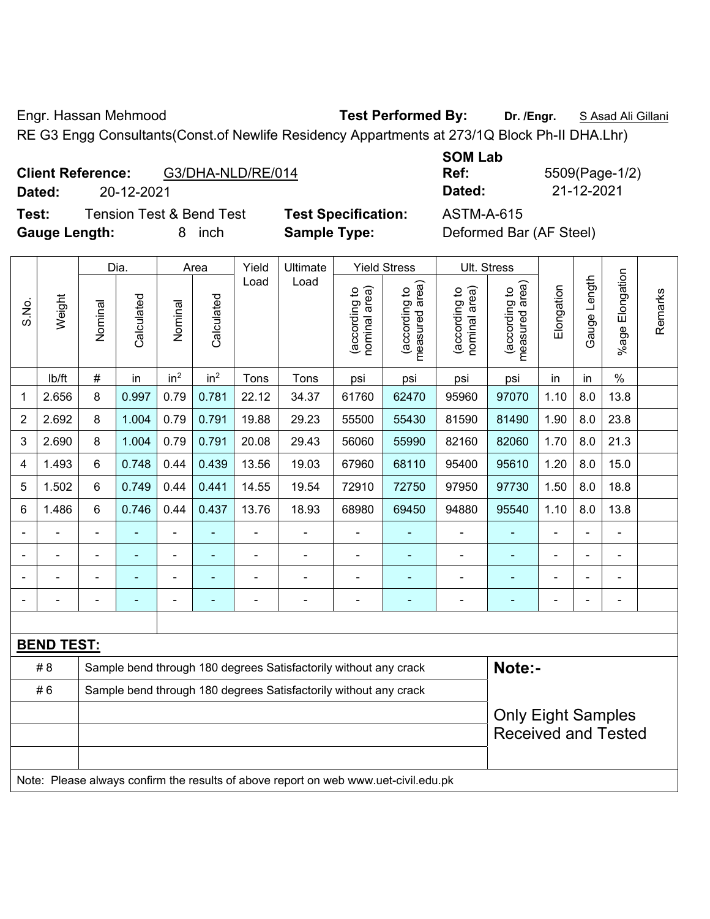Engr. Hassan Mehmood **Test Performed By: Dr. /Engr.** S Asad Ali Gillani

RE G3 Engg Consultants(Const.of Newlife Residency Appartments at 273/1Q Block Ph-II DHA.Lhr)

| <b>Client Reference:</b> | G3/DHA-NLD/RE/014 |
|--------------------------|-------------------|
|--------------------------|-------------------|

**Test:** Tension Test & Bend Test **Test Specification:** ASTM-A-615 **Gauge Length:** 8 inch **Sample Type:** Deformed Bar (AF Steel)

**SOM Lab Ref:** 5509(Page-1/2) **Dated:** 20-12-2021 **Dated:** 21-12-2021

|       |                   |                                                                  | Dia.           |                 | Area            | Yield | Ultimate                                                                            |                                | <b>Yield Stress</b>             | Ult. Stress                    |                                 |                |              |                       |         |
|-------|-------------------|------------------------------------------------------------------|----------------|-----------------|-----------------|-------|-------------------------------------------------------------------------------------|--------------------------------|---------------------------------|--------------------------------|---------------------------------|----------------|--------------|-----------------------|---------|
| S.No. | Weight            | Nominal                                                          | Calculated     | Nominal         | Calculated      | Load  | Load                                                                                | nominal area)<br>(according to | (according to<br>measured area) | nominal area)<br>(according to | (according to<br>measured area) | Elongation     | Gauge Length | Elongation<br>$%$ age | Remarks |
|       | lb/ft             | $\#$                                                             | in             | in <sup>2</sup> | in <sup>2</sup> | Tons  | Tons                                                                                | psi                            | psi                             | psi                            | psi                             | in             | in           | $\frac{0}{0}$         |         |
| 1     | 2.656             | 8                                                                | 0.997          | 0.79            | 0.781           | 22.12 | 34.37                                                                               | 61760                          | 62470                           | 95960                          | 97070                           | 1.10           | 8.0          | 13.8                  |         |
| 2     | 2.692             | 8                                                                | 1.004          | 0.79            | 0.791           | 19.88 | 29.23                                                                               | 55500                          | 55430                           | 81590                          | 81490                           | 1.90           | 8.0          | 23.8                  |         |
| 3     | 2.690             | 8                                                                | 1.004          | 0.79            | 0.791           | 20.08 | 29.43                                                                               | 56060                          | 55990                           | 82160                          | 82060                           | 1.70           | 8.0          | 21.3                  |         |
| 4     | 1.493             | 6                                                                | 0.748          | 0.44            | 0.439           | 13.56 | 19.03                                                                               | 67960                          | 68110                           | 95400                          | 95610                           | 1.20           | 8.0          | 15.0                  |         |
| 5     | 1.502             | 6                                                                | 0.749          | 0.44            | 0.441           | 14.55 | 19.54                                                                               | 72910                          | 72750                           | 97950                          | 97730                           | 1.50           | 8.0          | 18.8                  |         |
| 6     | 1.486             | 6                                                                | 0.746          | 0.44            | 0.437           | 13.76 | 18.93                                                                               | 68980                          | 69450                           | 94880                          | 95540                           | 1.10           | 8.0          | 13.8                  |         |
|       |                   | $\blacksquare$                                                   |                | $\blacksquare$  |                 | ä,    | ÷,                                                                                  | $\blacksquare$                 |                                 | $\blacksquare$                 |                                 | L,             |              | $\blacksquare$        |         |
|       |                   | $\blacksquare$                                                   | $\blacksquare$ | $\blacksquare$  | ÷               | Ē,    | $\overline{\phantom{0}}$                                                            | $\blacksquare$                 | $\blacksquare$                  | $\blacksquare$                 | $\blacksquare$                  | $\blacksquare$ |              | $\blacksquare$        |         |
|       |                   | ä,                                                               | ä,             | $\frac{1}{2}$   |                 |       | ÷                                                                                   | ä,                             | ٠                               | $\blacksquare$                 | $\blacksquare$                  |                |              | $\blacksquare$        |         |
|       |                   | ÷,                                                               |                | ÷               | ۰               | Ē,    | $\overline{\phantom{0}}$                                                            | ä,                             | $\blacksquare$                  | $\blacksquare$                 | $\blacksquare$                  | Ē,             |              | $\blacksquare$        |         |
|       |                   |                                                                  |                |                 |                 |       |                                                                                     |                                |                                 |                                |                                 |                |              |                       |         |
|       | <b>BEND TEST:</b> |                                                                  |                |                 |                 |       |                                                                                     |                                |                                 |                                |                                 |                |              |                       |         |
|       | # 8               |                                                                  |                |                 |                 |       | Sample bend through 180 degrees Satisfactorily without any crack                    |                                |                                 |                                | Note:-                          |                |              |                       |         |
|       | #6                | Sample bend through 180 degrees Satisfactorily without any crack |                |                 |                 |       |                                                                                     |                                |                                 |                                |                                 |                |              |                       |         |
|       |                   |                                                                  |                |                 |                 |       |                                                                                     |                                |                                 |                                | <b>Only Eight Samples</b>       |                |              |                       |         |
|       |                   |                                                                  |                |                 |                 |       |                                                                                     |                                |                                 |                                | <b>Received and Tested</b>      |                |              |                       |         |
|       |                   |                                                                  |                |                 |                 |       |                                                                                     |                                |                                 |                                |                                 |                |              |                       |         |
|       |                   |                                                                  |                |                 |                 |       | Note: Please always confirm the results of above report on web www.uet-civil.edu.pk |                                |                                 |                                |                                 |                |              |                       |         |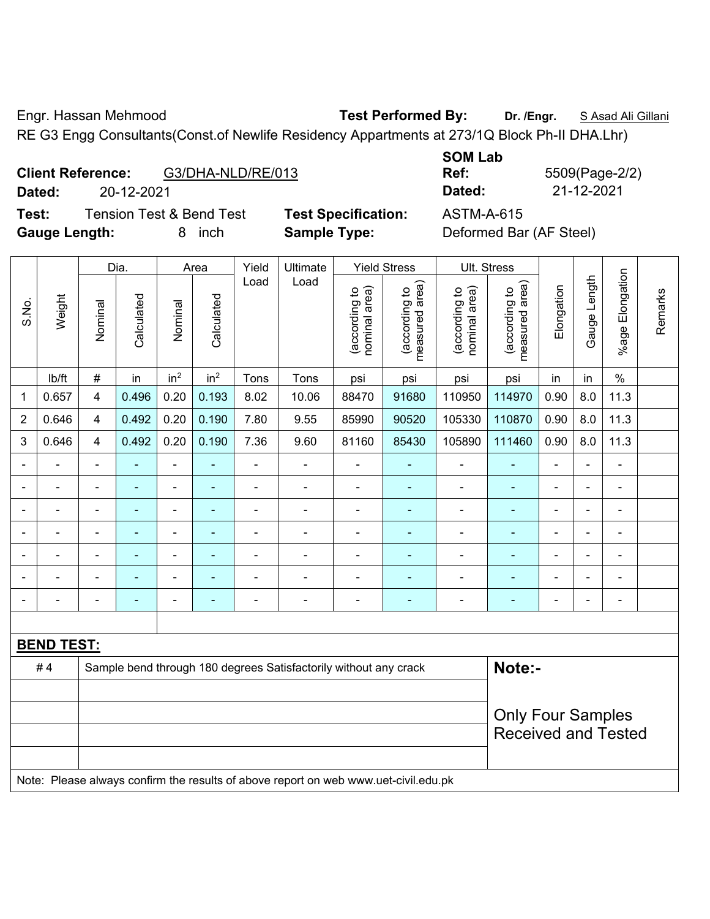Engr. Hassan Mehmood **Test Performed By: Dr. /Engr.** S Asad Ali Gillani

RE G3 Engg Consultants(Const.of Newlife Residency Appartments at 273/1Q Block Ph-II DHA.Lhr)

| G3/DHA-NLD/RE/013 |
|-------------------|
|                   |

**Test:** Tension Test & Bend Test **Test Specification:** ASTM-A-615 **Gauge Length:** 8 inch **Sample Type:** Deformed Bar (AF Steel)

**SOM Lab Ref:** 5509(Page-2/2) **Dated:** 20-12-2021 **Dated:** 21-12-2021

|                |                   |                          | Dia.           |                          | Area            | Yield          | Ultimate                                                                            |                                | <b>Yield Stress</b>                         |                                | Ult. Stress                     |                          |                |                |         |
|----------------|-------------------|--------------------------|----------------|--------------------------|-----------------|----------------|-------------------------------------------------------------------------------------|--------------------------------|---------------------------------------------|--------------------------------|---------------------------------|--------------------------|----------------|----------------|---------|
|                |                   |                          |                |                          |                 | Load           | Load                                                                                |                                |                                             |                                |                                 |                          |                | Elongation     |         |
| S.No.          | Weight            | Nominal                  | Calculated     | Nominal                  | Calculated      |                |                                                                                     | nominal area)<br>(according to | (according to<br>measured area)<br>measured | nominal area)<br>(according to | (according to<br>measured area) | Elongation               | Gauge Length   | $%$ age        | Remarks |
|                | lb/ft             | $\#$                     | in             | in <sup>2</sup>          | in <sup>2</sup> | Tons           | Tons                                                                                | psi                            | psi                                         | psi                            | psi                             | in                       | in             | $\%$           |         |
| 1              | 0.657             | $\overline{4}$           | 0.496          | 0.20                     | 0.193           | 8.02           | 10.06                                                                               | 88470                          | 91680                                       | 110950                         | 114970                          | 0.90                     | 8.0            | 11.3           |         |
| $\overline{2}$ | 0.646             | 4                        | 0.492          | 0.20                     | 0.190           | 7.80           | 9.55                                                                                | 85990                          | 90520                                       | 105330                         | 110870                          | 0.90                     | 8.0            | 11.3           |         |
| 3              | 0.646             | 4                        | 0.492          | 0.20                     | 0.190           | 7.36           | 9.60                                                                                | 81160                          | 85430                                       | 105890                         | 111460                          | 0.90                     | 8.0            | 11.3           |         |
| $\blacksquare$ | ÷                 | $\blacksquare$           | $\blacksquare$ | ÷,                       |                 | $\blacksquare$ | ÷,                                                                                  | $\blacksquare$                 | $\overline{\phantom{a}}$                    | $\blacksquare$                 | ٠                               | $\blacksquare$           | $\blacksquare$ | $\blacksquare$ |         |
| $\blacksquare$ | $\blacksquare$    | $\blacksquare$           | $\blacksquare$ | $\overline{\phantom{0}}$ | $\blacksquare$  | $\blacksquare$ | $\frac{1}{2}$                                                                       | $\blacksquare$                 | $\blacksquare$                              | $\blacksquare$                 | $\blacksquare$                  | $\blacksquare$           |                | $\blacksquare$ |         |
|                |                   | $\blacksquare$           | ä,             | $\blacksquare$           |                 | $\blacksquare$ | $\blacksquare$                                                                      | $\blacksquare$                 | $\blacksquare$                              | $\blacksquare$                 |                                 |                          |                | $\blacksquare$ |         |
|                |                   | $\blacksquare$           | -              | $\blacksquare$           |                 |                | $\blacksquare$                                                                      | $\blacksquare$                 |                                             | $\blacksquare$                 |                                 |                          |                | $\blacksquare$ |         |
| $\blacksquare$ |                   | $\blacksquare$           | $\blacksquare$ | $\blacksquare$           |                 | $\blacksquare$ | $\blacksquare$                                                                      | $\blacksquare$                 |                                             | $\blacksquare$                 |                                 | $\blacksquare$           |                | $\blacksquare$ |         |
|                |                   | $\blacksquare$           | -              | ۰                        |                 |                | $\blacksquare$                                                                      |                                |                                             | ٠                              |                                 |                          |                | $\blacksquare$ |         |
| $\blacksquare$ |                   | $\blacksquare$           | $\blacksquare$ | ۰                        | $\overline{a}$  | $\blacksquare$ | $\overline{\phantom{a}}$                                                            | $\blacksquare$                 | $\blacksquare$                              | $\overline{a}$                 | $\overline{\phantom{0}}$        | $\overline{\phantom{0}}$ |                | $\blacksquare$ |         |
|                |                   |                          |                |                          |                 |                |                                                                                     |                                |                                             |                                |                                 |                          |                |                |         |
|                | <b>BEND TEST:</b> |                          |                |                          |                 |                |                                                                                     |                                |                                             |                                |                                 |                          |                |                |         |
|                | #4                |                          |                |                          |                 |                | Sample bend through 180 degrees Satisfactorily without any crack                    |                                |                                             |                                | Note:-                          |                          |                |                |         |
|                |                   |                          |                |                          |                 |                |                                                                                     |                                |                                             |                                |                                 |                          |                |                |         |
|                |                   | <b>Only Four Samples</b> |                |                          |                 |                |                                                                                     |                                |                                             |                                |                                 |                          |                |                |         |
|                |                   |                          |                |                          |                 |                |                                                                                     |                                |                                             |                                | <b>Received and Tested</b>      |                          |                |                |         |
|                |                   |                          |                |                          |                 |                |                                                                                     |                                |                                             |                                |                                 |                          |                |                |         |
|                |                   |                          |                |                          |                 |                | Note: Please always confirm the results of above report on web www.uet-civil.edu.pk |                                |                                             |                                |                                 |                          |                |                |         |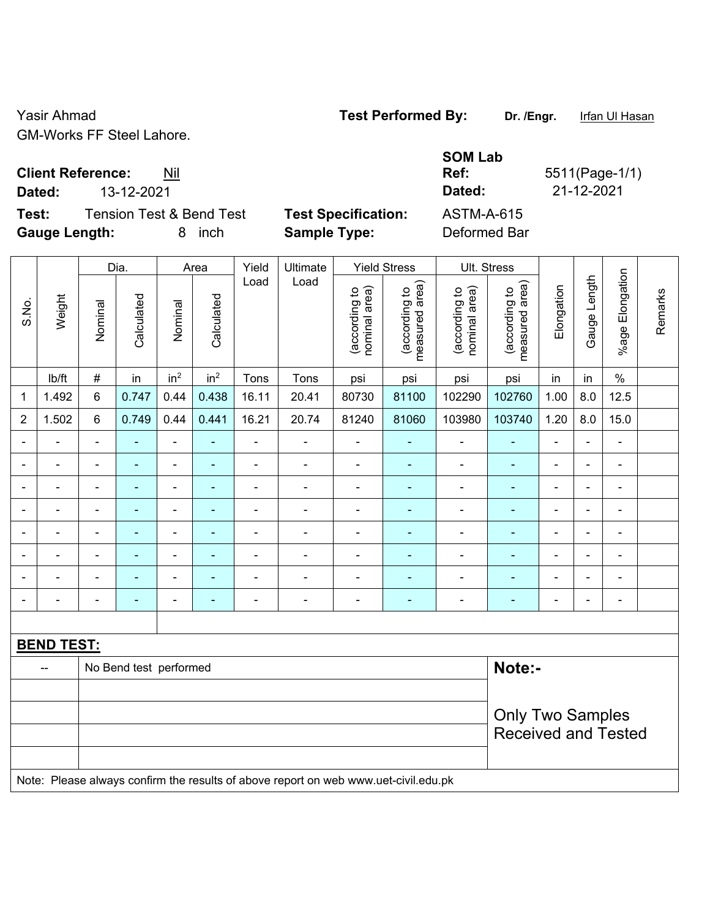Yasir Ahmad **Test Performed By:** Dr. /Engr. Infan Ul Hasan GM-Works FF Steel Lahore.

**Client Reference:** Nil

**Test:** Tension Test & Bend Test **Test Specification:** ASTM-A-615 **Gauge Length:** 8 inch **Sample Type:** Deformed Bar

**SOM Lab Ref:** 5511(Page-1/1) **Dated:** 13-12-2021 **Dated:** 21-12-2021

|                |                   | <b>Yield Stress</b><br>Dia.<br>Yield<br>Ultimate<br>Area |                        |                              |                 |                          |                                                                                     |                                |                                 |                                | Ult. Stress                     |                |                |                              |         |
|----------------|-------------------|----------------------------------------------------------|------------------------|------------------------------|-----------------|--------------------------|-------------------------------------------------------------------------------------|--------------------------------|---------------------------------|--------------------------------|---------------------------------|----------------|----------------|------------------------------|---------|
| S.No.          | Weight            | Nominal                                                  | Calculated             | Nominal                      | Calculated      | Load                     | Load                                                                                | nominal area)<br>(according to | (according to<br>measured area) | (according to<br>nominal area) | (according to<br>measured area) | Elongation     | Gauge Length   | %age Elongation              | Remarks |
|                | Ib/ft             | $\#$                                                     | in                     | in <sup>2</sup>              | in <sup>2</sup> | Tons                     | Tons                                                                                | psi                            | psi                             | psi                            | psi                             | in             | in             | $\%$                         |         |
| 1              | 1.492             | $6\phantom{1}$                                           | 0.747                  | 0.44                         | 0.438           | 16.11                    | 20.41                                                                               | 80730                          | 81100                           | 102290                         | 102760                          | 1.00           | 8.0            | 12.5                         |         |
| $\overline{2}$ | 1.502             | $6\phantom{1}$                                           | 0.749                  | 0.44                         | 0.441           | 16.21                    | 20.74                                                                               | 81240                          | 81060                           | 103980                         | 103740                          | 1.20           | 8.0            | 15.0                         |         |
|                |                   |                                                          |                        | ÷,                           |                 | ä,                       | ÷                                                                                   | ÷,                             |                                 |                                |                                 | ä,             | ÷.             | ÷,                           |         |
|                | $\blacksquare$    | $\blacksquare$                                           | $\blacksquare$         | ÷,                           | ٠               | ä,                       | $\blacksquare$                                                                      | $\blacksquare$                 | $\blacksquare$                  | $\blacksquare$                 | $\blacksquare$                  | $\blacksquare$ | $\blacksquare$ | ۰                            |         |
|                | $\blacksquare$    | $\blacksquare$                                           | $\blacksquare$         | $\overline{\phantom{0}}$     | $\blacksquare$  | $\blacksquare$           | $\overline{\phantom{a}}$                                                            | $\overline{\phantom{a}}$       | $\blacksquare$                  | $\overline{\phantom{a}}$       | $\qquad \qquad \blacksquare$    | $\blacksquare$ | ÷.             | $\overline{\phantom{0}}$     |         |
|                | $\blacksquare$    | $\blacksquare$                                           | ÷,                     | $\overline{\phantom{0}}$     |                 | $\overline{\phantom{a}}$ | ÷                                                                                   | ÷                              | $\blacksquare$                  | $\overline{\phantom{a}}$       | $\blacksquare$                  | $\blacksquare$ | ÷.             | $\overline{\phantom{0}}$     |         |
|                |                   | $\blacksquare$                                           | ä,                     | $\blacksquare$               |                 | ä,                       | ÷                                                                                   | $\blacksquare$                 |                                 | $\blacksquare$                 | $\blacksquare$                  | $\blacksquare$ | $\blacksquare$ | $\blacksquare$               |         |
|                |                   |                                                          |                        | ۰                            |                 | Ē,                       | ÷                                                                                   | $\blacksquare$                 |                                 | $\blacksquare$                 | ۰                               | $\blacksquare$ | $\blacksquare$ | ۰                            |         |
|                | $\blacksquare$    | $\blacksquare$                                           | ۰                      | $\qquad \qquad \blacksquare$ |                 | ٠                        | $\blacksquare$                                                                      | $\overline{\phantom{a}}$       | ٠                               | $\overline{\phantom{a}}$       | ۰                               | $\blacksquare$ | $\blacksquare$ | $\qquad \qquad \blacksquare$ |         |
|                |                   | $\blacksquare$                                           | ۰                      | ÷                            |                 | $\blacksquare$           | $\frac{1}{2}$                                                                       | $\blacksquare$                 | $\blacksquare$                  | $\blacksquare$                 | $\qquad \qquad \blacksquare$    | $\blacksquare$ | ÷.             | $\blacksquare$               |         |
|                |                   |                                                          |                        |                              |                 |                          |                                                                                     |                                |                                 |                                |                                 |                |                |                              |         |
|                | <b>BEND TEST:</b> |                                                          |                        |                              |                 |                          |                                                                                     |                                |                                 |                                |                                 |                |                |                              |         |
|                |                   |                                                          | No Bend test performed |                              |                 |                          |                                                                                     |                                |                                 |                                | Note:-                          |                |                |                              |         |
|                |                   |                                                          |                        |                              |                 |                          |                                                                                     |                                |                                 |                                |                                 |                |                |                              |         |
|                |                   |                                                          |                        |                              |                 |                          |                                                                                     |                                |                                 |                                | <b>Only Two Samples</b>         |                |                |                              |         |
|                |                   |                                                          |                        |                              |                 |                          |                                                                                     |                                |                                 |                                | <b>Received and Tested</b>      |                |                |                              |         |
|                |                   |                                                          |                        |                              |                 |                          |                                                                                     |                                |                                 |                                |                                 |                |                |                              |         |
|                |                   |                                                          |                        |                              |                 |                          | Note: Please always confirm the results of above report on web www.uet-civil.edu.pk |                                |                                 |                                |                                 |                |                |                              |         |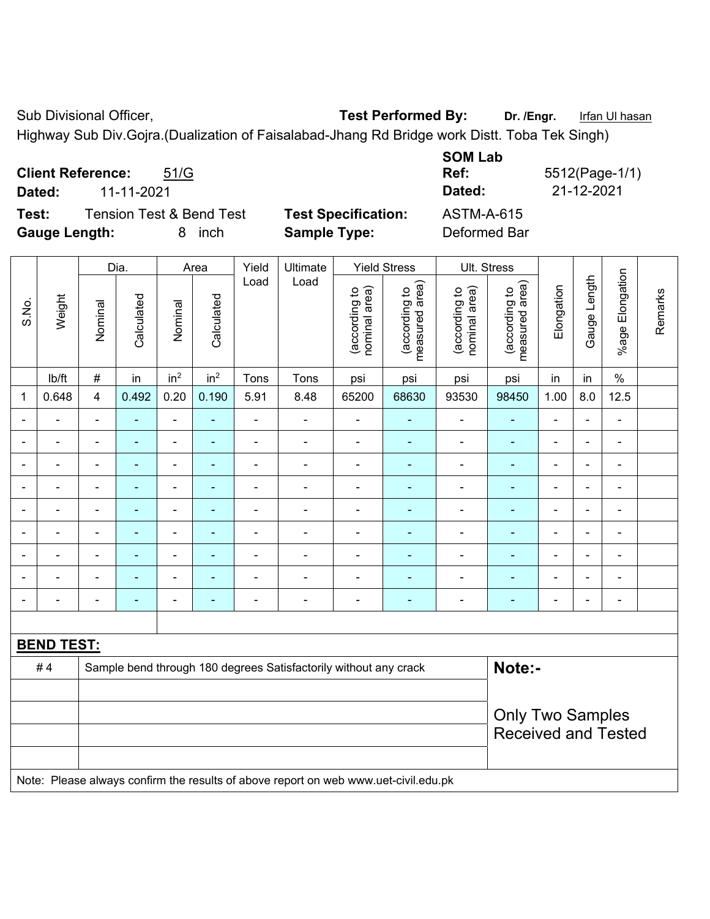Sub Divisional Officer, **Test Performed By:** Dr. /Engr. Infan Ul hasan

Highway Sub Div.Gojra.(Dualization of Faisalabad-Jhang Rd Bridge work Distt. Toba Tek Singh)

| <b>Client Reference:</b><br>51/G<br>11-11-2021<br>Dated:                          |                                                   | <b>SOM Lab</b><br>Ref:<br>Dated:  | 5512(Page-1/1)<br>21-12-2021 |
|-----------------------------------------------------------------------------------|---------------------------------------------------|-----------------------------------|------------------------------|
| <b>Tension Test &amp; Bend Test</b><br>Test:<br><b>Gauge Length:</b><br>inch<br>8 | <b>Test Specification:</b><br><b>Sample Type:</b> | <b>ASTM-A-615</b><br>Deformed Bar |                              |

|                |                   |                         | Dia.           |                 | Area                     | Yield          | Ultimate                                                                            |                                | <b>Yield Stress</b>             |                                | Ult. Stress                     |                |                |                          |         |  |
|----------------|-------------------|-------------------------|----------------|-----------------|--------------------------|----------------|-------------------------------------------------------------------------------------|--------------------------------|---------------------------------|--------------------------------|---------------------------------|----------------|----------------|--------------------------|---------|--|
| S.No.          | Weight            | Nominal                 | Calculated     | Nominal         | Calculated               | Load           | Load                                                                                | nominal area)<br>(according to | (according to<br>measured area) | nominal area)<br>(according to | measured area)<br>(according to | Elongation     | Gauge Length   | %age Elongation          | Remarks |  |
|                | Ib/ft             | $\#$                    | in             | in <sup>2</sup> | in <sup>2</sup>          | Tons           | Tons                                                                                | psi                            | psi                             | psi                            | psi                             | in             | in             | $\%$                     |         |  |
| 1              | 0.648             | $\overline{\mathbf{4}}$ | 0.492          | 0.20            | 0.190                    | 5.91           | 8.48                                                                                | 65200                          | 68630                           | 93530                          | 98450                           | 1.00           | 8.0            | 12.5                     |         |  |
|                |                   | $\blacksquare$          | ÷              | ÷               | ٠                        | ÷              | $\blacksquare$                                                                      | $\blacksquare$                 | $\blacksquare$                  | $\overline{\phantom{a}}$       | $\blacksquare$                  | $\blacksquare$ | $\blacksquare$ | $\blacksquare$           |         |  |
|                | $\blacksquare$    | $\blacksquare$          | $\blacksquare$ | $\blacksquare$  | ۰                        | $\blacksquare$ | $\overline{\phantom{a}}$                                                            | $\blacksquare$                 | ۰                               | $\overline{\phantom{a}}$       | $\blacksquare$                  | $\blacksquare$ | $\blacksquare$ | $\blacksquare$           |         |  |
|                | $\blacksquare$    | $\blacksquare$          | $\blacksquare$ | ÷,              | ۰                        | $\blacksquare$ | Ē,                                                                                  | $\blacksquare$                 | ÷                               | $\overline{a}$                 | $\blacksquare$                  | $\blacksquare$ | ٠              | ä,                       |         |  |
|                | $\blacksquare$    | $\blacksquare$          | ä,             | $\blacksquare$  | $\blacksquare$           | ä,             | $\blacksquare$                                                                      | $\blacksquare$                 | ÷                               | $\blacksquare$                 | $\blacksquare$                  | $\blacksquare$ |                | $\blacksquare$           |         |  |
|                |                   |                         |                | ÷               |                          | $\blacksquare$ | ä,                                                                                  | ä,                             |                                 | $\blacksquare$                 | $\overline{a}$                  |                |                | $\blacksquare$           |         |  |
|                |                   |                         |                | ۰               |                          |                | $\blacksquare$                                                                      | ۰                              | $\overline{\phantom{0}}$        | $\overline{\phantom{0}}$       | $\blacksquare$                  | $\blacksquare$ |                | $\overline{\phantom{a}}$ |         |  |
|                |                   |                         |                | ä,              |                          | Ē,             | Ē,                                                                                  | ä,                             |                                 | $\blacksquare$                 |                                 | L.             |                | $\blacksquare$           |         |  |
|                |                   |                         |                | ۰               | $\overline{\phantom{0}}$ |                | ÷                                                                                   | $\qquad \qquad \blacksquare$   | $\overline{\phantom{0}}$        |                                |                                 |                |                | ÷                        |         |  |
| $\blacksquare$ |                   | $\blacksquare$          | $\blacksquare$ | ä,              | ٠                        | ä,             | $\blacksquare$                                                                      | $\blacksquare$                 | ٠                               | $\blacksquare$                 | $\blacksquare$                  | $\blacksquare$ | $\blacksquare$ | ä,                       |         |  |
|                |                   |                         |                |                 |                          |                |                                                                                     |                                |                                 |                                |                                 |                |                |                          |         |  |
|                | <b>BEND TEST:</b> |                         |                |                 |                          |                |                                                                                     |                                |                                 |                                |                                 |                |                |                          |         |  |
|                | #4                |                         |                |                 |                          |                | Sample bend through 180 degrees Satisfactorily without any crack                    |                                |                                 |                                | Note:-                          |                |                |                          |         |  |
|                |                   |                         |                |                 |                          |                |                                                                                     |                                |                                 |                                |                                 |                |                |                          |         |  |
|                |                   |                         |                |                 |                          |                |                                                                                     |                                |                                 |                                | <b>Only Two Samples</b>         |                |                |                          |         |  |
|                |                   |                         |                |                 |                          |                |                                                                                     |                                |                                 |                                | <b>Received and Tested</b>      |                |                |                          |         |  |
|                |                   |                         |                |                 |                          |                |                                                                                     |                                |                                 |                                |                                 |                |                |                          |         |  |
|                |                   |                         |                |                 |                          |                | Note: Please always confirm the results of above report on web www.uet-civil.edu.pk |                                |                                 |                                |                                 |                |                |                          |         |  |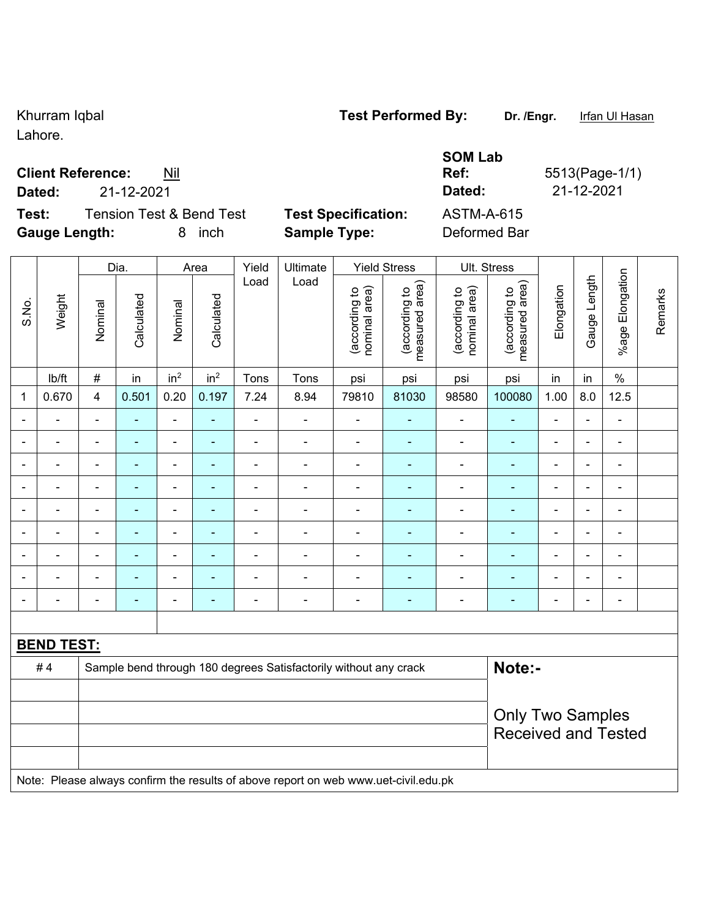Lahore.

## **Client Reference:**

**Dated:** 21-12-2021 **Dated:** 21-12-2021

**Test:** Tension Test & Bend Test **Test Specification:** ASTM-A-615 **Gauge Length:** 8 inch **Sample Type:** Deformed Bar

|            | <b>SOM Lab</b> |
|------------|----------------|
| <u>Nil</u> | Ref:           |
| $\sim$     | $P = 1 - 1$    |

**Ref:** 5513(Page-1/1)

Received and Tested

|              |                   |                         | Dia.           |                 | Area            | Yield          | Ultimate                                                         |                                | <b>Yield Stress</b>                | Ult. Stress                    |                                 |            |              |                          |         |
|--------------|-------------------|-------------------------|----------------|-----------------|-----------------|----------------|------------------------------------------------------------------|--------------------------------|------------------------------------|--------------------------------|---------------------------------|------------|--------------|--------------------------|---------|
| S.No.        | Weight            | Nominal                 | Calculated     | Nominal         | Calculated      | Load           | Load                                                             | nominal area)<br>(according to | area)<br>(according to<br>measured | (according to<br>nominal area) | measured area)<br>(according to | Elongation | Gauge Length | Elongation<br>$%$ age    | Remarks |
|              | lb/ft             | $\#$                    | in             | in <sup>2</sup> | in <sup>2</sup> | Tons           | Tons                                                             | psi                            | psi                                | psi                            | psi                             | in         | in           | $\%$                     |         |
| $\mathbf{1}$ | 0.670             | $\overline{\mathbf{4}}$ | 0.501          | 0.20            | 0.197           | 7.24           | 8.94                                                             | 79810                          | 81030                              | 98580                          | 100080                          | 1.00       | $8.0\,$      | 12.5                     |         |
|              |                   | $\blacksquare$          |                | $\blacksquare$  | ۰               |                |                                                                  |                                |                                    | -                              | $\blacksquare$                  | ÷          |              | $\blacksquare$           |         |
|              |                   | $\blacksquare$          | $\blacksquare$ | ۰               | ۰               | ÷              |                                                                  | $\blacksquare$                 | $\overline{\phantom{a}}$           | $\blacksquare$                 |                                 | ÷          |              | $\blacksquare$           |         |
|              |                   | $\blacksquare$          | $\blacksquare$ | ۰               | ÷               | $\blacksquare$ |                                                                  |                                |                                    | $\overline{a}$                 | $\blacksquare$                  | ÷          |              | $\blacksquare$           |         |
|              |                   |                         |                |                 |                 |                |                                                                  |                                |                                    | ۰                              |                                 | ÷          |              | $\blacksquare$           |         |
|              |                   | $\blacksquare$          | ٠              | ۰               | ۰               | $\blacksquare$ |                                                                  | $\blacksquare$                 | $\blacksquare$                     | $\blacksquare$                 |                                 | ÷          |              | $\overline{\phantom{a}}$ |         |
|              |                   | $\blacksquare$          |                | -               | ٠               |                |                                                                  |                                |                                    | -                              |                                 | ۰          |              | $\blacksquare$           |         |
|              |                   | $\blacksquare$          | ٠              | $\blacksquare$  |                 | -              |                                                                  |                                |                                    | $\blacksquare$                 |                                 | ÷          |              | $\blacksquare$           |         |
|              |                   |                         |                | $\blacksquare$  |                 |                |                                                                  |                                |                                    |                                |                                 | ۰          |              | $\overline{a}$           |         |
|              |                   |                         |                |                 |                 |                |                                                                  | $\blacksquare$                 |                                    | -                              |                                 | ÷          |              | $\blacksquare$           |         |
|              |                   |                         |                |                 |                 |                |                                                                  |                                |                                    |                                |                                 |            |              |                          |         |
|              | <b>BEND TEST:</b> |                         |                |                 |                 |                |                                                                  |                                |                                    |                                |                                 |            |              |                          |         |
|              | #4                |                         |                |                 |                 |                | Sample bend through 180 degrees Satisfactorily without any crack |                                |                                    |                                | Note:-                          |            |              |                          |         |
|              |                   |                         |                |                 |                 |                |                                                                  |                                |                                    |                                |                                 |            |              |                          |         |
|              |                   |                         |                |                 |                 |                |                                                                  |                                |                                    |                                | <b>Only Two Samples</b>         |            |              |                          |         |

Note: Please always confirm the results of above report on web www.uet-civil.edu.pk

Khurram Iqbal **Test Performed By:** Dr. /Engr. Ifan Ul Hasan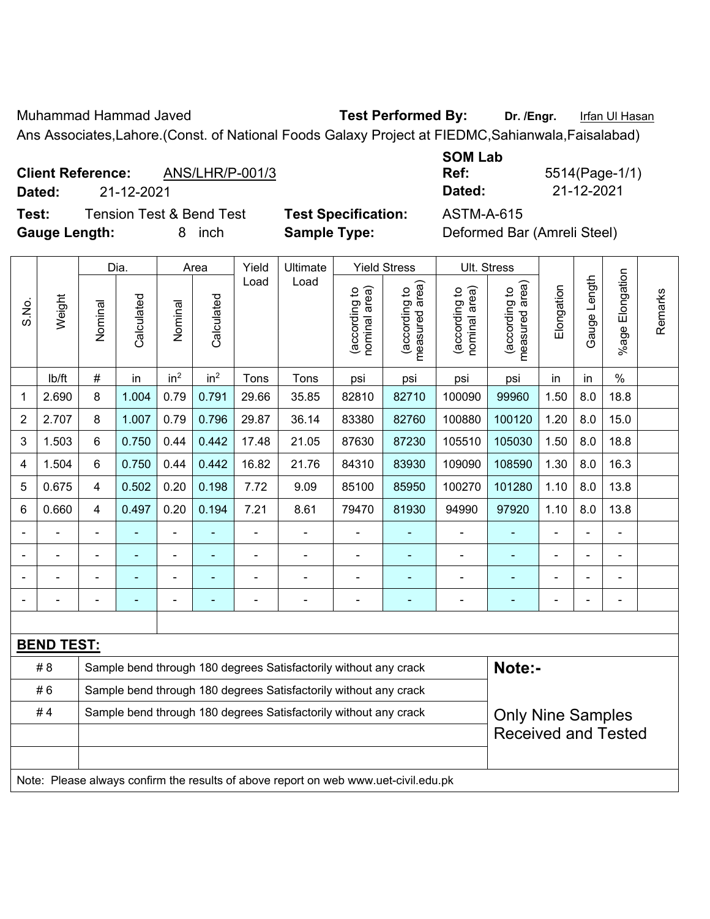Muhammad Hammad Javed **Test Performed By:** Dr. /Engr. Infan Ul Hasan

Ans Associates,Lahore.(Const. of National Foods Galaxy Project at FIEDMC,Sahianwala,Faisalabad)

# **Client Reference:** ANS/LHR/P-001/3

**Test:** Tension Test & Bend Test **Test Specification:** ASTM-A-615 Gauge Length: **8** inch **Sample Type:** Defining Bar (Deformed Bar (Bar (American Step)

**SOM Lab Ref:** 5514(Page-1/1) **Dated:** 21-12-2021 **Dated:** 21-12-2021

|                |                                                                        |         | Dia.       |                          | Area            | Yield | Ultimate                                                                            |                                | <b>Yield Stress</b>             |                                | Ult. Stress                                 |                |              |                       |         |
|----------------|------------------------------------------------------------------------|---------|------------|--------------------------|-----------------|-------|-------------------------------------------------------------------------------------|--------------------------------|---------------------------------|--------------------------------|---------------------------------------------|----------------|--------------|-----------------------|---------|
| S.No.          | Weight                                                                 | Nominal | Calculated | Nominal                  | Calculated      | Load  | Load                                                                                | nominal area)<br>(according to | (according to<br>measured area) | nominal area)<br>(according to | (according to<br>measured area)<br>measured | Elongation     | Gauge Length | Elongation<br>$%$ age | Remarks |
|                | lb/ft                                                                  | #       | in         | in <sup>2</sup>          | in <sup>2</sup> | Tons  | Tons                                                                                | psi                            | psi                             | psi                            | psi                                         | in             | in           | $\%$                  |         |
| 1              | 2.690                                                                  | 8       | 1.004      | 0.79                     | 0.791           | 29.66 | 35.85                                                                               | 82810                          | 82710                           | 100090                         | 99960                                       | 1.50           | 8.0          | 18.8                  |         |
| $\overline{2}$ | 2.707                                                                  | 8       | 1.007      | 0.79                     | 0.796           | 29.87 | 36.14                                                                               | 83380                          | 82760                           | 100880                         | 100120                                      | 1.20           | 8.0          | 15.0                  |         |
| 3              | 1.503                                                                  | 6       | 0.750      | 0.44                     | 0.442           | 17.48 | 21.05                                                                               | 87630                          | 87230                           | 105510                         | 105030                                      | 1.50           | 8.0          | 18.8                  |         |
| 4              | 1.504                                                                  | 6       | 0.750      | 0.44                     | 0.442           | 16.82 | 21.76                                                                               | 84310                          | 83930                           | 109090                         | 108590                                      | 1.30           | 8.0          | 16.3                  |         |
| 5              | 0.675                                                                  | 4       | 0.502      | 0.20                     | 0.198           | 7.72  | 9.09                                                                                | 85100                          | 85950                           | 100270                         | 101280                                      | 1.10           | 8.0          | 13.8                  |         |
| 6              | 0.660                                                                  | 4       | 0.497      | 0.20                     | 0.194           | 7.21  | 8.61                                                                                | 79470                          | 81930                           | 94990                          | 97920                                       | 1.10           | 8.0          | 13.8                  |         |
|                |                                                                        |         |            |                          |                 |       |                                                                                     |                                |                                 |                                |                                             |                |              |                       |         |
|                |                                                                        |         |            |                          |                 |       |                                                                                     | $\blacksquare$                 |                                 |                                |                                             |                |              | ÷                     |         |
|                | $\blacksquare$                                                         |         |            | $\overline{\phantom{0}}$ |                 |       | $\blacksquare$                                                                      |                                | ۰                               | $\overline{\phantom{0}}$       |                                             | $\blacksquare$ |              | $\blacksquare$        |         |
|                |                                                                        |         |            |                          |                 |       | $\blacksquare$                                                                      |                                | ۰                               | ÷                              | $\overline{\phantom{0}}$                    | ٠              |              | ÷                     |         |
|                |                                                                        |         |            |                          |                 |       |                                                                                     |                                |                                 |                                |                                             |                |              |                       |         |
|                | <b>BEND TEST:</b>                                                      |         |            |                          |                 |       |                                                                                     |                                |                                 |                                |                                             |                |              |                       |         |
|                | # 8                                                                    |         |            |                          |                 |       | Sample bend through 180 degrees Satisfactorily without any crack                    |                                |                                 |                                | Note:-                                      |                |              |                       |         |
|                | #6                                                                     |         |            |                          |                 |       | Sample bend through 180 degrees Satisfactorily without any crack                    |                                |                                 |                                |                                             |                |              |                       |         |
|                | #4<br>Sample bend through 180 degrees Satisfactorily without any crack |         |            |                          |                 |       |                                                                                     |                                |                                 | <b>Only Nine Samples</b>       |                                             |                |              |                       |         |
|                |                                                                        |         |            |                          |                 |       |                                                                                     | <b>Received and Tested</b>     |                                 |                                |                                             |                |              |                       |         |
|                |                                                                        |         |            |                          |                 |       | Note: Please always confirm the results of above report on web www.uet-civil.edu.pk |                                |                                 |                                |                                             |                |              |                       |         |
|                |                                                                        |         |            |                          |                 |       |                                                                                     |                                |                                 |                                |                                             |                |              |                       |         |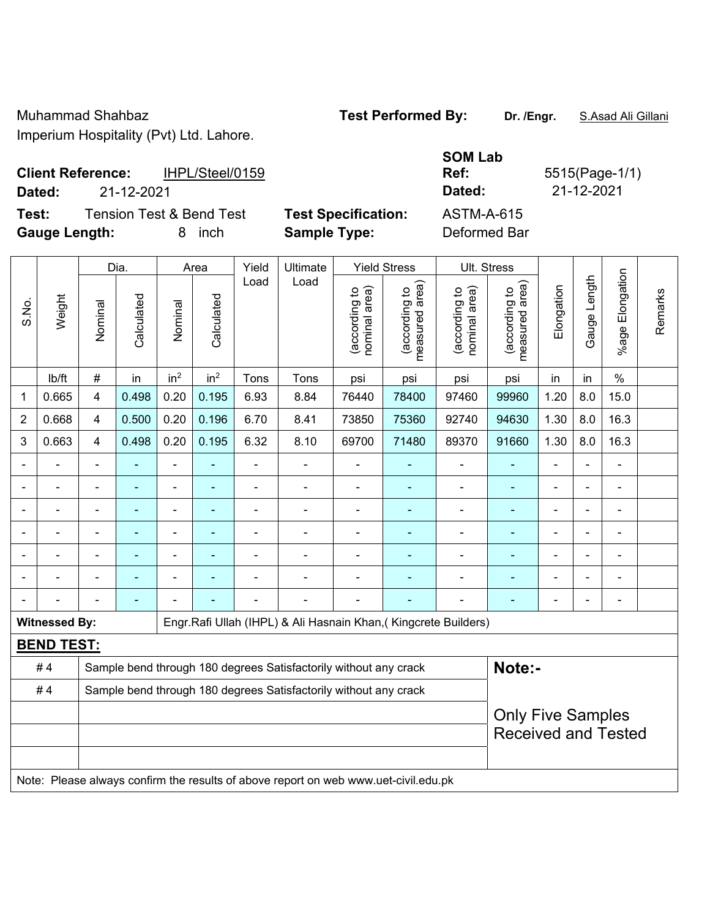Muhammad Shahbaz **Test Performed By: Dr. /Engr.** S.Asad Ali Gillani

Imperium Hospitality (Pvt) Ltd. Lahore.

| <b>Client Reference:</b> | IHPL/Steel/0159 | <b>Ref</b> | 5515(Page-1) |
|--------------------------|-----------------|------------|--------------|
| Dated:                   | 21-12-2021      | Dated:     | 21-12-2021   |

**Test:** Tension Test & Bend Test **Test Specification:** ASTM-A-615 **Gauge Length:** 8 inch **Sample Type:** Deformed Bar

**SOM Lab Ref:** 5515(Page-1/1)

|                |                      | Dia.           |                |                 | Area            |                | Ultimate                                                                            |                                | <b>Yield Stress</b>             |                                | Ult. Stress                     |                |              |                       |         |
|----------------|----------------------|----------------|----------------|-----------------|-----------------|----------------|-------------------------------------------------------------------------------------|--------------------------------|---------------------------------|--------------------------------|---------------------------------|----------------|--------------|-----------------------|---------|
| S.No.          | Weight               | Nominal        | Calculated     | Nominal         | Calculated      | Load           | Load                                                                                | nominal area)<br>(according to | measured area)<br>(according to | (according to<br>nominal area) | (according to<br>measured area) | Elongation     | Gauge Length | Elongation<br>$%$ age | Remarks |
|                | lb/ft                | $\#$           | in             | in <sup>2</sup> | in <sup>2</sup> | Tons           | Tons                                                                                | psi                            | psi                             | psi                            | psi                             | in             | in           | $\%$                  |         |
| 1              | 0.665                | 4              | 0.498          | 0.20            | 0.195           | 6.93           | 8.84                                                                                | 76440                          | 78400                           | 97460                          | 99960                           | 1.20           | 8.0          | 15.0                  |         |
| $\overline{2}$ | 0.668                | $\overline{4}$ | 0.500          | 0.20            | 0.196           | 6.70           | 8.41                                                                                | 73850                          | 75360                           | 92740                          | 94630                           | 1.30           | 8.0          | 16.3                  |         |
| 3              | 0.663                | $\overline{4}$ | 0.498          | 0.20            | 0.195           | 6.32           | 8.10                                                                                | 69700                          | 71480                           | 89370                          | 91660                           | 1.30           | 8.0          | 16.3                  |         |
|                |                      |                |                | $\blacksquare$  |                 |                | ۰                                                                                   |                                |                                 |                                |                                 |                |              | -                     |         |
|                |                      |                |                | $\blacksquare$  |                 | $\blacksquare$ | $\blacksquare$                                                                      | $\overline{a}$                 | $\blacksquare$                  | ٠                              | $\blacksquare$                  | $\blacksquare$ |              | -                     |         |
|                |                      | $\blacksquare$ |                | ä,              |                 | ä,             | $\overline{\phantom{0}}$                                                            | $\overline{a}$                 | ٠                               | ÷                              | $\blacksquare$                  |                |              | -                     |         |
|                |                      | $\blacksquare$ | $\blacksquare$ | $\blacksquare$  | ä,              | ä,             | Ē,                                                                                  | $\blacksquare$                 |                                 | ÷                              | $\blacksquare$                  | ä,             |              | $\blacksquare$        |         |
|                |                      | $\blacksquare$ | $\blacksquare$ | $\blacksquare$  |                 | ä,             | Ē,                                                                                  |                                |                                 |                                | ٠                               |                |              | ä,                    |         |
|                |                      |                |                |                 |                 |                |                                                                                     |                                |                                 |                                |                                 |                |              |                       |         |
|                |                      |                | ٠              |                 |                 |                |                                                                                     | $\blacksquare$                 |                                 |                                | $\blacksquare$                  | $\blacksquare$ |              |                       |         |
|                | <b>Witnessed By:</b> |                |                |                 |                 |                | Engr.Rafi Ullah (IHPL) & Ali Hasnain Khan, (Kingcrete Builders)                     |                                |                                 |                                |                                 |                |              |                       |         |
|                | <b>BEND TEST:</b>    |                |                |                 |                 |                |                                                                                     |                                |                                 |                                |                                 |                |              |                       |         |
|                | #4                   |                |                |                 |                 |                | Sample bend through 180 degrees Satisfactorily without any crack                    |                                |                                 |                                | Note:-                          |                |              |                       |         |
|                | #4                   |                |                |                 |                 |                | Sample bend through 180 degrees Satisfactorily without any crack                    |                                |                                 |                                |                                 |                |              |                       |         |
|                |                      |                |                |                 |                 |                |                                                                                     |                                |                                 |                                | <b>Only Five Samples</b>        |                |              |                       |         |
|                |                      |                |                |                 |                 |                |                                                                                     |                                |                                 |                                | <b>Received and Tested</b>      |                |              |                       |         |
|                |                      |                |                |                 |                 |                |                                                                                     |                                |                                 |                                |                                 |                |              |                       |         |
|                |                      |                |                |                 |                 |                | Note: Please always confirm the results of above report on web www.uet-civil.edu.pk |                                |                                 |                                |                                 |                |              |                       |         |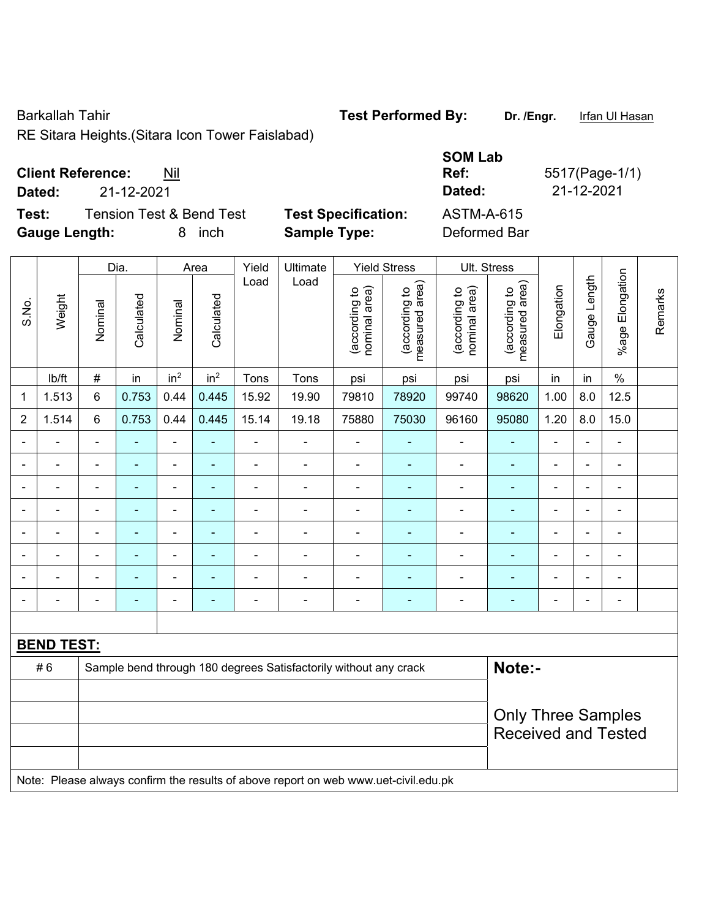Barkallah Tahir **Test Performed By:** Dr. /Engr. Infan Ul Hasan

RE Sitara Heights.(Sitara Icon Tower Faislabad)

# **Client Reference:** Nil

**Dated:** 21-12-2021 **Dated:** 21-12-2021

**Test:** Tension Test & Bend Test **Test Specification: Gauge Length:** 8 inch **Sample Type:** Deformed Bar

| <b>SOM Lab</b> |                |
|----------------|----------------|
| Ref:           | 5517(Page-1/1) |
| Dated:         | 21-12-2021     |
| ASTM-A-615     |                |
| Deformed Bar   |                |

|                |                   |                | Dia.                     |                          | Area            | Yield                    | Ultimate                                                                            |                                | <b>Yield Stress</b>             |                                | Ult. Stress                     |                          |                |                              |         |
|----------------|-------------------|----------------|--------------------------|--------------------------|-----------------|--------------------------|-------------------------------------------------------------------------------------|--------------------------------|---------------------------------|--------------------------------|---------------------------------|--------------------------|----------------|------------------------------|---------|
| S.No.          | Weight            | Nominal        | Calculated               | Nominal                  | Calculated      | Load                     | Load                                                                                | (according to<br>nominal area) | (according to<br>measured area) | (according to<br>nominal area) | (according to<br>measured area) | Elongation               | Gauge Length   | %age Elongation              | Remarks |
|                | lb/ft             | $\#$           | in                       | in <sup>2</sup>          | in <sup>2</sup> | Tons                     | Tons                                                                                | psi                            | psi                             | psi                            | psi                             | in                       | in             | $\%$                         |         |
| 1              | 1.513             | $\,6$          | 0.753                    | 0.44                     | 0.445           | 15.92                    | 19.90                                                                               | 79810                          | 78920                           | 99740                          | 98620                           | 1.00                     | 8.0            | 12.5                         |         |
| $\overline{2}$ | 1.514             | 6              | 0.753                    | 0.44                     | 0.445           | 15.14                    | 19.18                                                                               | 75880                          | 75030                           | 96160                          | 95080                           | 1.20                     | 8.0            | 15.0                         |         |
| $\blacksquare$ | $\blacksquare$    | $\blacksquare$ | ÷,                       | $\blacksquare$           | $\blacksquare$  | $\blacksquare$           | $\blacksquare$                                                                      | $\blacksquare$                 | ÷,                              | $\blacksquare$                 | ä,                              | $\blacksquare$           | $\blacksquare$ | $\blacksquare$               |         |
|                | ÷                 | $\blacksquare$ | $\blacksquare$           | $\blacksquare$           | $\blacksquare$  | $\blacksquare$           | ÷                                                                                   | $\blacksquare$                 | $\blacksquare$                  | $\qquad \qquad \blacksquare$   | $\blacksquare$                  | $\overline{\phantom{a}}$ | ä,             | $\overline{\phantom{a}}$     |         |
| $\blacksquare$ | $\blacksquare$    | $\blacksquare$ | ÷,                       | $\blacksquare$           | $\blacksquare$  | $\blacksquare$           | ä,                                                                                  | $\blacksquare$                 | Ξ                               | $\qquad \qquad \blacksquare$   | $\blacksquare$                  | $\blacksquare$           | L.             | ÷,                           |         |
|                | ä,                | ä,             | $\blacksquare$           | $\blacksquare$           | ۰               | $\blacksquare$           | ä,                                                                                  | ä,                             | ä,                              | $\blacksquare$                 | $\blacksquare$                  | ä,                       | ÷.             | ÷,                           |         |
|                |                   |                |                          |                          |                 |                          | $\blacksquare$                                                                      | $\overline{\phantom{0}}$       | ۰                               | $\blacksquare$                 | $\blacksquare$                  | $\blacksquare$           |                | ۰                            |         |
|                | $\blacksquare$    | $\blacksquare$ | $\blacksquare$           | $\blacksquare$           | ٠               | $\blacksquare$           | $\blacksquare$                                                                      | $\overline{\phantom{a}}$       | ä,                              | $\blacksquare$                 | $\blacksquare$                  | ä,                       | $\blacksquare$ | $\blacksquare$               |         |
|                | ÷                 | $\blacksquare$ |                          | $\overline{a}$           | $\blacksquare$  | Ē,                       | $\blacksquare$                                                                      | Ē,                             | ۰                               | $\blacksquare$                 |                                 | $\blacksquare$           | ÷.             | ۰                            |         |
| $\blacksquare$ | $\blacksquare$    | $\blacksquare$ | $\overline{\phantom{0}}$ | $\overline{\phantom{a}}$ | ٠               | $\overline{\phantom{a}}$ | ÷                                                                                   | ÷                              | ÷                               | $\blacksquare$                 | $\blacksquare$                  | $\blacksquare$           | $\blacksquare$ | $\qquad \qquad \blacksquare$ |         |
|                |                   |                |                          |                          |                 |                          |                                                                                     |                                |                                 |                                |                                 |                          |                |                              |         |
|                | <b>BEND TEST:</b> |                |                          |                          |                 |                          |                                                                                     |                                |                                 |                                |                                 |                          |                |                              |         |
|                | #6                |                |                          |                          |                 |                          | Sample bend through 180 degrees Satisfactorily without any crack                    |                                |                                 |                                | Note:-                          |                          |                |                              |         |
|                |                   |                |                          |                          |                 |                          |                                                                                     |                                |                                 |                                |                                 |                          |                |                              |         |
|                |                   |                |                          |                          |                 |                          |                                                                                     | <b>Only Three Samples</b>      |                                 |                                |                                 |                          |                |                              |         |
|                |                   |                |                          |                          |                 |                          |                                                                                     | <b>Received and Tested</b>     |                                 |                                |                                 |                          |                |                              |         |
|                |                   |                |                          |                          |                 |                          |                                                                                     |                                |                                 |                                |                                 |                          |                |                              |         |
|                |                   |                |                          |                          |                 |                          | Note: Please always confirm the results of above report on web www.uet-civil.edu.pk |                                |                                 |                                |                                 |                          |                |                              |         |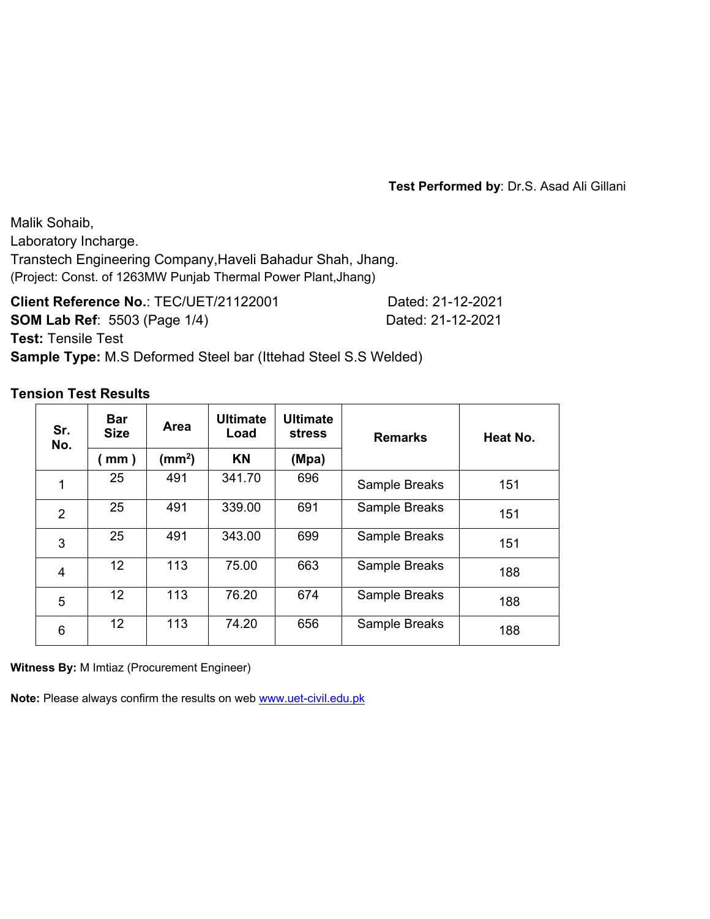Malik Sohaib, Laboratory Incharge. Transtech Engineering Company,Haveli Bahadur Shah, Jhang. (Project: Const. of 1263MW Punjab Thermal Power Plant,Jhang)

**Client Reference No.**: TEC/UET/21122001 Dated: 21-12-2021 **SOM Lab Ref**: 5503 (Page 1/4) Dated: 21-12-2021 **Test:** Tensile Test **Sample Type:** M.S Deformed Steel bar (Ittehad Steel S.S Welded)

### **Tension Test Results**

| Sr.<br>No.     | <b>Bar</b><br><b>Size</b> | <b>Area</b>        | <b>Ultimate</b><br>Load | <b>Ultimate</b><br><b>stress</b> | <b>Remarks</b> | Heat No. |
|----------------|---------------------------|--------------------|-------------------------|----------------------------------|----------------|----------|
|                | mm)                       | (mm <sup>2</sup> ) | <b>KN</b>               | (Mpa)                            |                |          |
| 1              | 25                        | 491                | 341.70                  | 696                              | Sample Breaks  | 151      |
| $\overline{2}$ | 25                        | 491                | 339.00                  | 691                              | Sample Breaks  | 151      |
| 3              | 25                        | 491                | 343.00                  | 699                              | Sample Breaks  | 151      |
| $\overline{4}$ | 12 <sup>2</sup>           | 113                | 75.00                   | 663                              | Sample Breaks  | 188      |
| 5              | 12 <sup>°</sup>           | 113                | 76.20                   | 674                              | Sample Breaks  | 188      |
| 6              | 12 <sup>°</sup>           | 113                | 74.20                   | 656                              | Sample Breaks  | 188      |

**Witness By:** M Imtiaz (Procurement Engineer)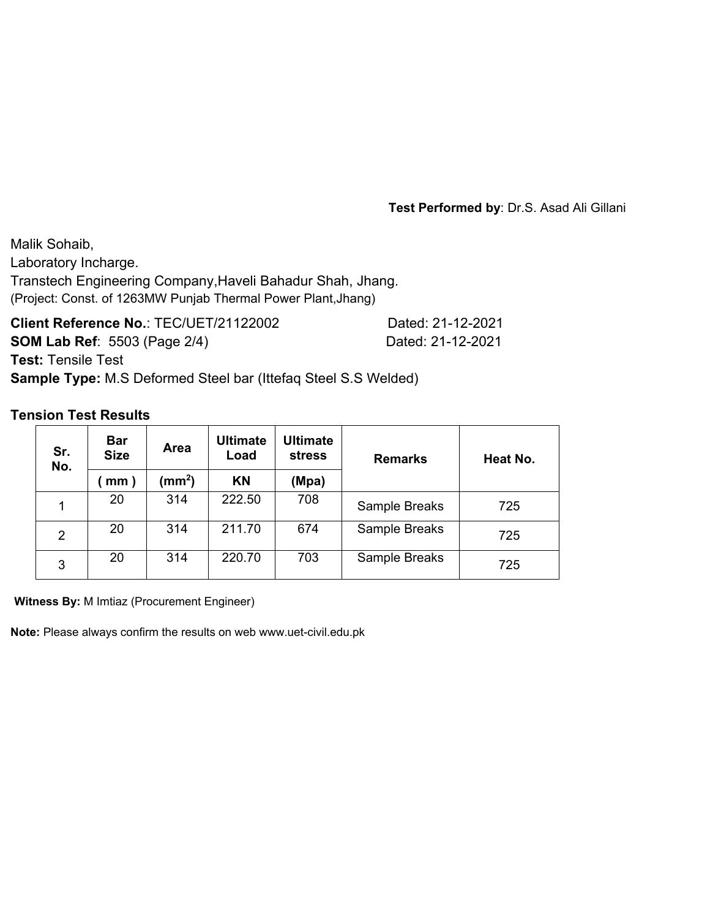Malik Sohaib, Laboratory Incharge. Transtech Engineering Company,Haveli Bahadur Shah, Jhang. (Project: Const. of 1263MW Punjab Thermal Power Plant,Jhang)

**Client Reference No.**: TEC/UET/21122002 Dated: 21-12-2021 **SOM Lab Ref**: 5503 (Page 2/4) Dated: 21-12-2021 **Test:** Tensile Test **Sample Type:** M.S Deformed Steel bar (Ittefaq Steel S.S Welded)

## **Tension Test Results**

| Sr.<br>No. | <b>Bar</b><br><b>Size</b> | Area            | <b>Ultimate</b><br>Load | <b>Ultimate</b><br><b>stress</b> | <b>Remarks</b> | Heat No. |
|------------|---------------------------|-----------------|-------------------------|----------------------------------|----------------|----------|
|            | mm)                       | $\text{(mm}^2)$ | KN                      | (Mpa)                            |                |          |
|            | 20                        | 314             | 222.50                  | 708                              | Sample Breaks  | 725      |
| 2          | 20                        | 314             | 211.70                  | 674                              | Sample Breaks  | 725      |
| 3          | 20                        | 314             | 220.70                  | 703                              | Sample Breaks  | 725      |

**Witness By:** M Imtiaz (Procurement Engineer)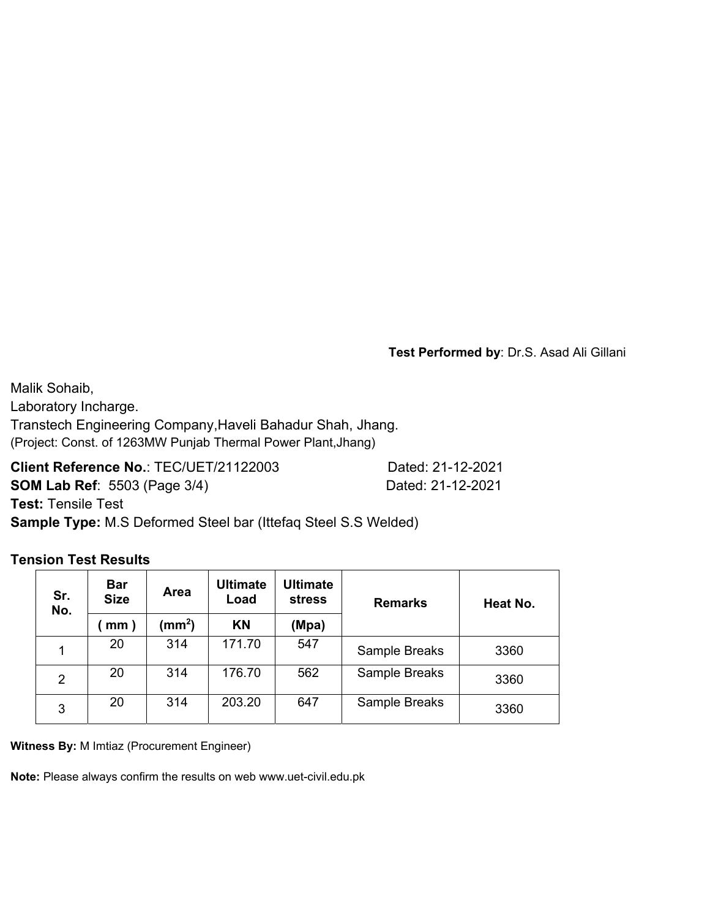Malik Sohaib, Laboratory Incharge. Transtech Engineering Company,Haveli Bahadur Shah, Jhang. (Project: Const. of 1263MW Punjab Thermal Power Plant,Jhang)

**Client Reference No.**: TEC/UET/21122003 Dated: 21-12-2021

**SOM Lab Ref**: 5503 (Page 3/4) Dated: 21-12-2021

**Test:** Tensile Test

**Sample Type:** M.S Deformed Steel bar (Ittefaq Steel S.S Welded)

## **Tension Test Results**

| Sr.<br>No.     | <b>Bar</b><br>Area<br><b>Size</b><br>(mm <sup>2</sup> )<br>mm) |     | <b>Ultimate</b><br>Load | Ultimate<br><b>stress</b> | <b>Remarks</b> | Heat No. |
|----------------|----------------------------------------------------------------|-----|-------------------------|---------------------------|----------------|----------|
|                |                                                                |     | <b>KN</b><br>(Mpa)      |                           |                |          |
|                | 20                                                             | 314 | 171.70                  | 547                       | Sample Breaks  | 3360     |
| $\overline{2}$ | 20                                                             | 314 | 176.70                  | 562                       | Sample Breaks  | 3360     |
| 3              | 20                                                             | 314 | 203.20                  | 647                       | Sample Breaks  | 3360     |

**Witness By:** M Imtiaz (Procurement Engineer)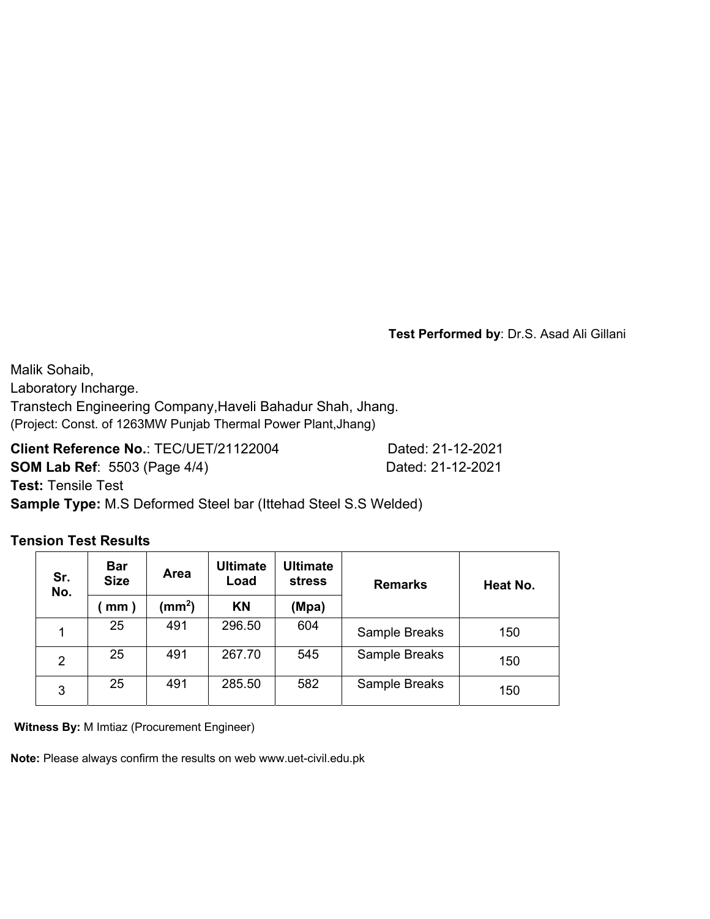Malik Sohaib, Laboratory Incharge. Transtech Engineering Company,Haveli Bahadur Shah, Jhang. (Project: Const. of 1263MW Punjab Thermal Power Plant,Jhang)

**Client Reference No.**: TEC/UET/21122004 Dated: 21-12-2021 **SOM Lab Ref**: 5503 (Page 4/4) Dated: 21-12-2021 **Test:** Tensile Test

**Sample Type:** M.S Deformed Steel bar (Ittehad Steel S.S Welded)

### **Tension Test Results**

| Sr.<br>No.     | <b>Bar</b><br><b>Size</b>          | <b>Area</b> | <b>Ultimate</b><br>Load | <b>Ultimate</b><br><b>stress</b> | <b>Remarks</b> | Heat No. |
|----------------|------------------------------------|-------------|-------------------------|----------------------------------|----------------|----------|
|                | $\textsf{(mm}^2)$<br>$\text{mm}$ ) |             | <b>KN</b><br>(Mpa)      |                                  |                |          |
| 1              | 25                                 | 491         | 296.50                  | 604                              | Sample Breaks  | 150      |
| $\overline{2}$ | 25                                 | 491         | 267.70                  | 545                              | Sample Breaks  | 150      |
| 3              | 25                                 | 491         | 285.50                  | 582                              | Sample Breaks  | 150      |

**Witness By:** M Imtiaz (Procurement Engineer)